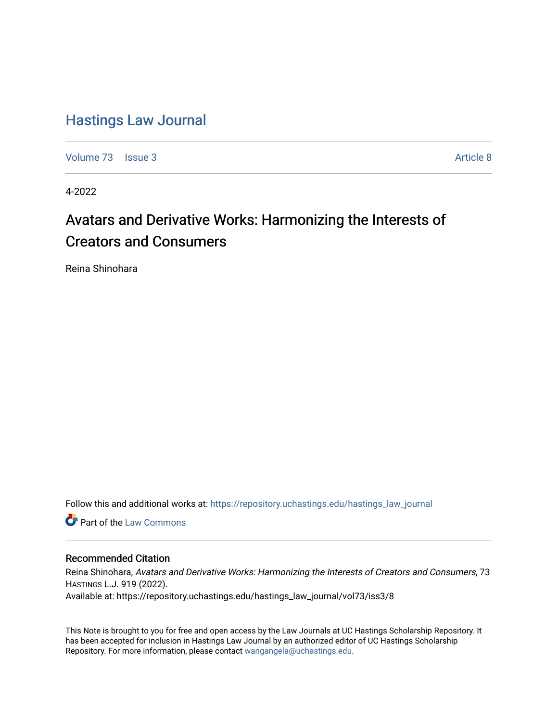# [Hastings Law Journal](https://repository.uchastings.edu/hastings_law_journal)

[Volume 73](https://repository.uchastings.edu/hastings_law_journal/vol73) | [Issue 3](https://repository.uchastings.edu/hastings_law_journal/vol73/iss3) Article 8

4-2022

# Avatars and Derivative Works: Harmonizing the Interests of Creators and Consumers

Reina Shinohara

Follow this and additional works at: [https://repository.uchastings.edu/hastings\\_law\\_journal](https://repository.uchastings.edu/hastings_law_journal?utm_source=repository.uchastings.edu%2Fhastings_law_journal%2Fvol73%2Fiss3%2F8&utm_medium=PDF&utm_campaign=PDFCoverPages) 

**C** Part of the [Law Commons](http://network.bepress.com/hgg/discipline/578?utm_source=repository.uchastings.edu%2Fhastings_law_journal%2Fvol73%2Fiss3%2F8&utm_medium=PDF&utm_campaign=PDFCoverPages)

# Recommended Citation

Reina Shinohara, Avatars and Derivative Works: Harmonizing the Interests of Creators and Consumers, 73 HASTINGS L.J. 919 (2022). Available at: https://repository.uchastings.edu/hastings\_law\_journal/vol73/iss3/8

This Note is brought to you for free and open access by the Law Journals at UC Hastings Scholarship Repository. It has been accepted for inclusion in Hastings Law Journal by an authorized editor of UC Hastings Scholarship Repository. For more information, please contact [wangangela@uchastings.edu](mailto:wangangela@uchastings.edu).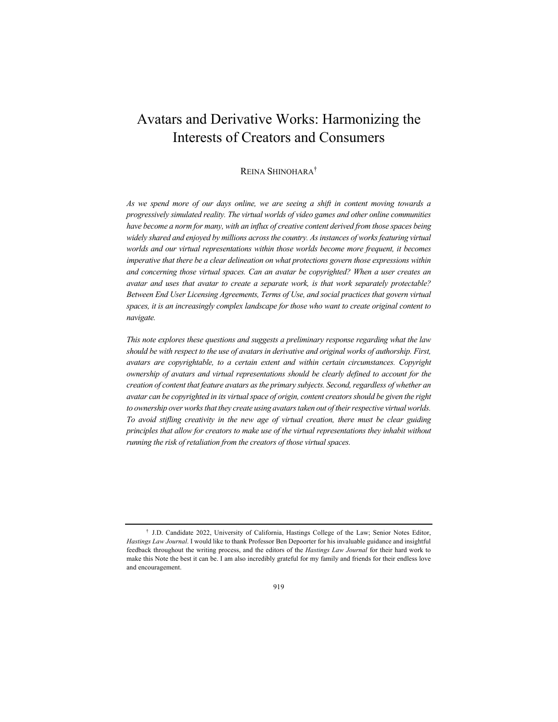# Avatars and Derivative Works: Harmonizing the Interests of Creators and Consumers

## REINA SHINOHARA†

*As we spend more of our days online, we are seeing a shift in content moving towards a progressively simulated reality. The virtual worlds of video games and other online communities*  have become a norm for many, with an influx of creative content derived from those spaces being *widely shared and enjoyed by millions across the country. As instances of works featuring virtual worlds and our virtual representations within those worlds become more frequent, it becomes imperative that there be a clear delineation on what protections govern those expressions within and concerning those virtual spaces. Can an avatar be copyrighted? When a user creates an avatar and uses that avatar to create a separate work, is that work separately protectable? Between End User Licensing Agreements, Terms of Use, and social practices that govern virtual spaces, it is an increasingly complex landscape for those who want to create original content to navigate.*

*This note explores these questions and suggests a preliminary response regarding what the law should be with respect to the use of avatars in derivative and original works of authorship. First, avatars are copyrightable, to a certain extent and within certain circumstances. Copyright ownership of avatars and virtual representations should be clearly defined to account for the creation of content that feature avatars as the primary subjects. Second, regardless of whether an avatar can be copyrighted in its virtual space of origin, content creators should be given the right to ownership over works that they create using avatars taken out of their respective virtual worlds. To avoid stifling creativity in the new age of virtual creation, there must be clear guiding principles that allow for creators to make use of the virtual representations they inhabit without running the risk of retaliation from the creators of those virtual spaces.*

<sup>†</sup> J.D. Candidate 2022, University of California, Hastings College of the Law; Senior Notes Editor, *Hastings Law Journal*. I would like to thank Professor Ben Depoorter for his invaluable guidance and insightful feedback throughout the writing process, and the editors of the *Hastings Law Journal* for their hard work to make this Note the best it can be. I am also incredibly grateful for my family and friends for their endless love and encouragement.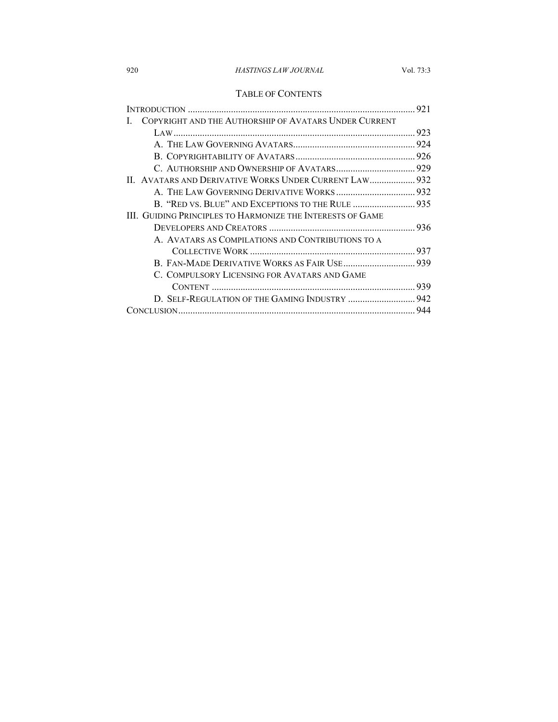# 920 *HASTINGS LAW JOURNAL* Vol. 73:3

# TABLE OF CONTENTS

|  | COPYRIGHT AND THE AUTHORSHIP OF AVATARS UNDER CURRENT      |  |
|--|------------------------------------------------------------|--|
|  |                                                            |  |
|  |                                                            |  |
|  |                                                            |  |
|  |                                                            |  |
|  | II. AVATARS AND DERIVATIVE WORKS UNDER CURRENT LAW 932     |  |
|  |                                                            |  |
|  | B. "RED VS. BLUE" AND EXCEPTIONS TO THE RULE  935          |  |
|  | III. GUIDING PRINCIPLES TO HARMONIZE THE INTERESTS OF GAME |  |
|  |                                                            |  |
|  | A. AVATARS AS COMPILATIONS AND CONTRIBUTIONS TO A          |  |
|  |                                                            |  |
|  |                                                            |  |
|  | C. COMPULSORY LICENSING FOR AVATARS AND GAME               |  |
|  |                                                            |  |
|  | D. SELF-REGULATION OF THE GAMING INDUSTRY  942             |  |
|  |                                                            |  |
|  |                                                            |  |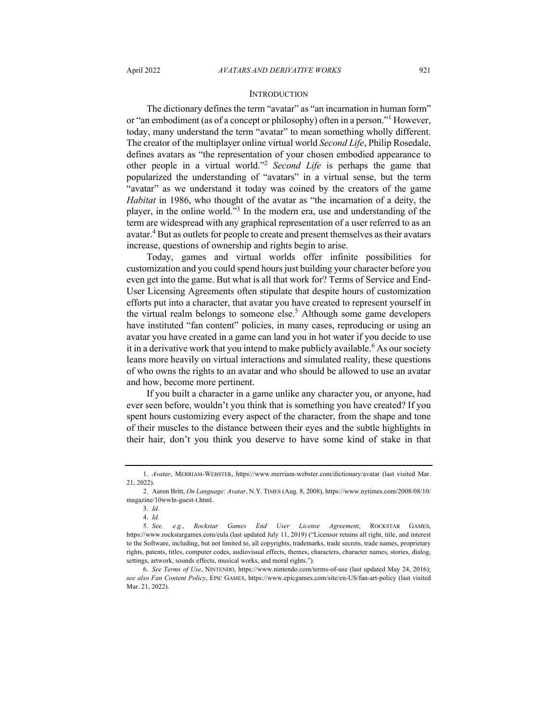#### **INTRODUCTION**

The dictionary defines the term "avatar" as "an incarnation in human form" or "an embodiment (as of a concept or philosophy) often in a person."<sup>1</sup> However, today, many understand the term "avatar" to mean something wholly different. The creator of the multiplayer online virtual world *Second Life*, Philip Rosedale, defines avatars as "the representation of your chosen embodied appearance to other people in a virtual world."2 *Second Life* is perhaps the game that popularized the understanding of "avatars" in a virtual sense, but the term "avatar" as we understand it today was coined by the creators of the game *Habitat* in 1986, who thought of the avatar as "the incarnation of a deity, the player, in the online world."3 In the modern era, use and understanding of the term are widespread with any graphical representation of a user referred to as an avatar.<sup>4</sup> But as outlets for people to create and present themselves as their avatars increase, questions of ownership and rights begin to arise.

Today, games and virtual worlds offer infinite possibilities for customization and you could spend hours just building your character before you even get into the game. But what is all that work for? Terms of Service and End-User Licensing Agreements often stipulate that despite hours of customization efforts put into a character, that avatar you have created to represent yourself in the virtual realm belongs to someone else.<sup>5</sup> Although some game developers have instituted "fan content" policies, in many cases, reproducing or using an avatar you have created in a game can land you in hot water if you decide to use it in a derivative work that you intend to make publicly available.<sup>6</sup> As our society leans more heavily on virtual interactions and simulated reality, these questions of who owns the rights to an avatar and who should be allowed to use an avatar and how, become more pertinent.

If you built a character in a game unlike any character you, or anyone, had ever seen before, wouldn't you think that is something you have created? If you spent hours customizing every aspect of the character, from the shape and tone of their muscles to the distance between their eyes and the subtle highlights in their hair, don't you think you deserve to have some kind of stake in that

<sup>1.</sup> *Avatar*, MERRIAM-WEBSTER, https://www.merriam-webster.com/dictionary/avatar (last visited Mar. 21, 2022).

<sup>2.</sup> Aaron Britt, *On Language: Avatar*, N.Y. TIMES (Aug. 8, 2008), https://www.nytimes.com/2008/08/10/ magazine/10wwln-guest-t.html.

<sup>3.</sup> *Id.*

<sup>4.</sup> *Id.*

<sup>5.</sup> *See, e.g.*, *Rockstar Games End User License Agreement*, ROCKSTAR GAMES, https://www.rockstargames.com/eula (last updated July 11, 2019) ("Licensor retains all right, title, and interest to the Software, including, but not limited to, all copyrights, trademarks, trade secrets, trade names, proprietary rights, patents, titles, computer codes, audiovisual effects, themes, characters, character names, stories, dialog, settings, artwork, sounds effects, musical works, and moral rights.").

<sup>6.</sup> *See Terms of Use*, NINTENDO, https://www.nintendo.com/terms-of-use (last updated May 24, 2016); *see also Fan Content Policy*, EPIC GAMES, https://www.epicgames.com/site/en-US/fan-art-policy (last visited Mar. 21, 2022).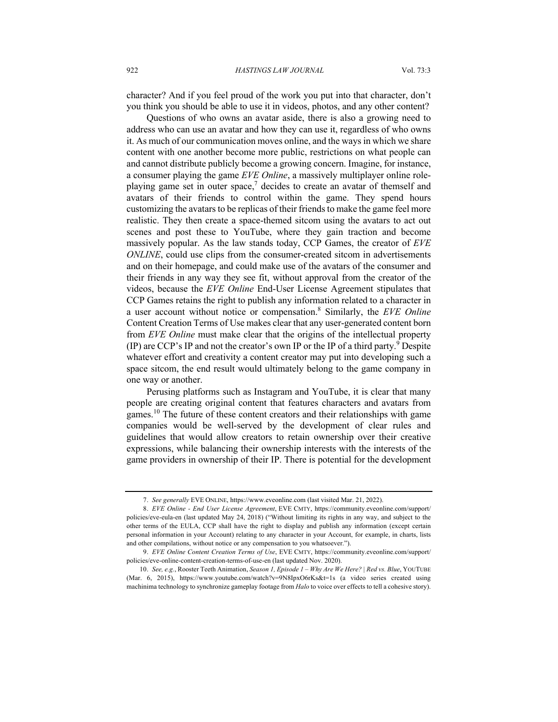character? And if you feel proud of the work you put into that character, don't you think you should be able to use it in videos, photos, and any other content?

Questions of who owns an avatar aside, there is also a growing need to address who can use an avatar and how they can use it, regardless of who owns it. As much of our communication moves online, and the ways in which we share content with one another become more public, restrictions on what people can and cannot distribute publicly become a growing concern. Imagine, for instance, a consumer playing the game *EVE Online*, a massively multiplayer online roleplaying game set in outer space,<sup>7</sup> decides to create an avatar of themself and avatars of their friends to control within the game. They spend hours customizing the avatars to be replicas of their friends to make the game feel more realistic. They then create a space-themed sitcom using the avatars to act out scenes and post these to YouTube, where they gain traction and become massively popular. As the law stands today, CCP Games, the creator of *EVE ONLINE*, could use clips from the consumer-created sitcom in advertisements and on their homepage, and could make use of the avatars of the consumer and their friends in any way they see fit, without approval from the creator of the videos, because the *EVE Online* End-User License Agreement stipulates that CCP Games retains the right to publish any information related to a character in a user account without notice or compensation.8 Similarly, the *EVE Online* Content Creation Terms of Use makes clear that any user-generated content born from *EVE Online* must make clear that the origins of the intellectual property (IP) are CCP's IP and not the creator's own IP or the IP of a third party.<sup>9</sup> Despite whatever effort and creativity a content creator may put into developing such a space sitcom, the end result would ultimately belong to the game company in one way or another.

Perusing platforms such as Instagram and YouTube, it is clear that many people are creating original content that features characters and avatars from games.<sup>10</sup> The future of these content creators and their relationships with game companies would be well-served by the development of clear rules and guidelines that would allow creators to retain ownership over their creative expressions, while balancing their ownership interests with the interests of the game providers in ownership of their IP. There is potential for the development

<sup>7.</sup> *See generally* EVE ONLINE, https://www.eveonline.com (last visited Mar. 21, 2022).

<sup>8.</sup> *EVE Online - End User License Agreement*, EVE CMTY, https://community.eveonline.com/support/ policies/eve-eula-en (last updated May 24, 2018) ("Without limiting its rights in any way, and subject to the other terms of the EULA, CCP shall have the right to display and publish any information (except certain personal information in your Account) relating to any character in your Account, for example, in charts, lists and other compilations, without notice or any compensation to you whatsoever.").

<sup>9.</sup> *EVE Online Content Creation Terms of Use*, EVE CMTY, https://community.eveonline.com/support/ policies/eve-online-content-creation-terms-of-use-en (last updated Nov. 2020).

<sup>10.</sup> *See, e.g.*, Rooster Teeth Animation, *Season 1, Episode 1 – Why Are We Here? | Red vs. Blue*, YOUTUBE (Mar. 6, 2015), https://www.youtube.com/watch?v=9N8IpxO6rKs&t=1s (a video series created using machinima technology to synchronize gameplay footage from *Halo* to voice over effects to tell a cohesive story).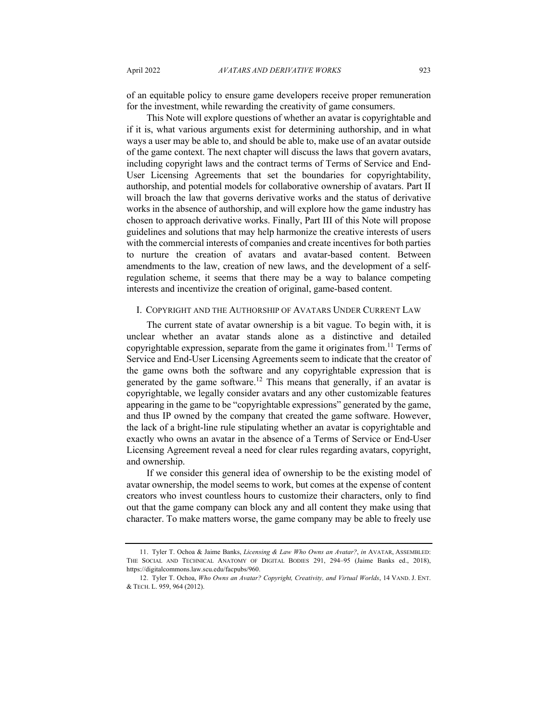of an equitable policy to ensure game developers receive proper remuneration for the investment, while rewarding the creativity of game consumers.

This Note will explore questions of whether an avatar is copyrightable and if it is, what various arguments exist for determining authorship, and in what ways a user may be able to, and should be able to, make use of an avatar outside of the game context. The next chapter will discuss the laws that govern avatars, including copyright laws and the contract terms of Terms of Service and End-User Licensing Agreements that set the boundaries for copyrightability, authorship, and potential models for collaborative ownership of avatars. Part II will broach the law that governs derivative works and the status of derivative works in the absence of authorship, and will explore how the game industry has chosen to approach derivative works. Finally, Part III of this Note will propose guidelines and solutions that may help harmonize the creative interests of users with the commercial interests of companies and create incentives for both parties to nurture the creation of avatars and avatar-based content. Between amendments to the law, creation of new laws, and the development of a selfregulation scheme, it seems that there may be a way to balance competing interests and incentivize the creation of original, game-based content.

#### I. COPYRIGHT AND THE AUTHORSHIP OF AVATARS UNDER CURRENT LAW

The current state of avatar ownership is a bit vague. To begin with, it is unclear whether an avatar stands alone as a distinctive and detailed copyrightable expression, separate from the game it originates from.<sup>11</sup> Terms of Service and End-User Licensing Agreements seem to indicate that the creator of the game owns both the software and any copyrightable expression that is generated by the game software.<sup>12</sup> This means that generally, if an avatar is copyrightable, we legally consider avatars and any other customizable features appearing in the game to be "copyrightable expressions" generated by the game, and thus IP owned by the company that created the game software. However, the lack of a bright-line rule stipulating whether an avatar is copyrightable and exactly who owns an avatar in the absence of a Terms of Service or End-User Licensing Agreement reveal a need for clear rules regarding avatars, copyright, and ownership.

If we consider this general idea of ownership to be the existing model of avatar ownership, the model seems to work, but comes at the expense of content creators who invest countless hours to customize their characters, only to find out that the game company can block any and all content they make using that character. To make matters worse, the game company may be able to freely use

<sup>11.</sup> Tyler T. Ochoa & Jaime Banks, *Licensing & Law Who Owns an Avatar?*, *in* AVATAR, ASSEMBLED: THE SOCIAL AND TECHNICAL ANATOMY OF DIGITAL BODIES 291, 294–95 (Jaime Banks ed., 2018), https://digitalcommons.law.scu.edu/facpubs/960.

<sup>12.</sup> Tyler T. Ochoa, *Who Owns an Avatar? Copyright, Creativity, and Virtual Worlds*, 14 VAND. J. ENT. & TECH. L. 959, 964 (2012).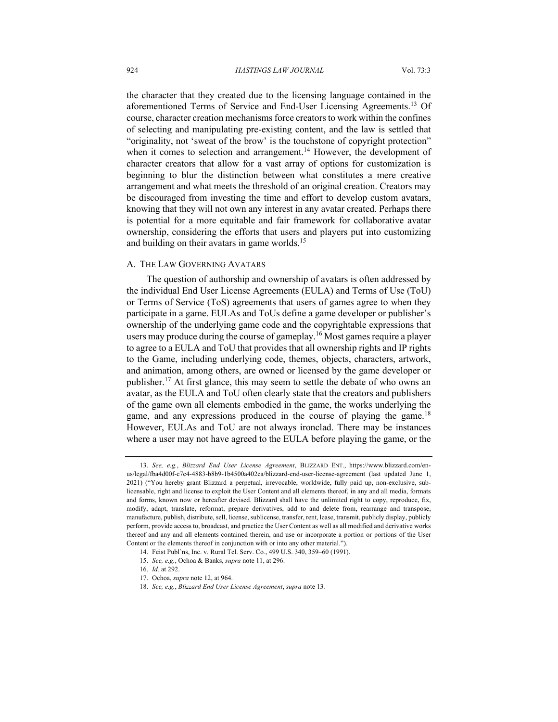the character that they created due to the licensing language contained in the aforementioned Terms of Service and End-User Licensing Agreements.<sup>13</sup> Of course, character creation mechanisms force creators to work within the confines of selecting and manipulating pre-existing content, and the law is settled that "originality, not 'sweat of the brow' is the touchstone of copyright protection" when it comes to selection and arrangement.<sup>14</sup> However, the development of character creators that allow for a vast array of options for customization is beginning to blur the distinction between what constitutes a mere creative arrangement and what meets the threshold of an original creation. Creators may be discouraged from investing the time and effort to develop custom avatars, knowing that they will not own any interest in any avatar created. Perhaps there is potential for a more equitable and fair framework for collaborative avatar ownership, considering the efforts that users and players put into customizing and building on their avatars in game worlds.<sup>15</sup>

#### A. THE LAW GOVERNING AVATARS

The question of authorship and ownership of avatars is often addressed by the individual End User License Agreements (EULA) and Terms of Use (ToU) or Terms of Service (ToS) agreements that users of games agree to when they participate in a game. EULAs and ToUs define a game developer or publisher's ownership of the underlying game code and the copyrightable expressions that users may produce during the course of gameplay.<sup>16</sup> Most games require a player to agree to a EULA and ToU that provides that all ownership rights and IP rights to the Game, including underlying code, themes, objects, characters, artwork, and animation, among others, are owned or licensed by the game developer or publisher.<sup>17</sup> At first glance, this may seem to settle the debate of who owns an avatar, as the EULA and ToU often clearly state that the creators and publishers of the game own all elements embodied in the game, the works underlying the game, and any expressions produced in the course of playing the game.<sup>18</sup> However, EULAs and ToU are not always ironclad. There may be instances where a user may not have agreed to the EULA before playing the game, or the

<sup>13.</sup> *See, e.g.*, *Blizzard End User License Agreement*, BLIZZARD ENT., https://www.blizzard.com/enus/legal/fba4d00f-c7e4-4883-b8b9-1b4500a402ea/blizzard-end-user-license-agreement (last updated June 1, 2021) ("You hereby grant Blizzard a perpetual, irrevocable, worldwide, fully paid up, non-exclusive, sublicensable, right and license to exploit the User Content and all elements thereof, in any and all media, formats and forms, known now or hereafter devised. Blizzard shall have the unlimited right to copy, reproduce, fix, modify, adapt, translate, reformat, prepare derivatives, add to and delete from, rearrange and transpose, manufacture, publish, distribute, sell, license, sublicense, transfer, rent, lease, transmit, publicly display, publicly perform, provide access to, broadcast, and practice the User Content as well as all modified and derivative works thereof and any and all elements contained therein, and use or incorporate a portion or portions of the User Content or the elements thereof in conjunction with or into any other material.").

<sup>14.</sup> Feist Publ'ns, Inc. v. Rural Tel. Serv. Co*.*, 499 U.S. 340, 359–60 (1991).

<sup>15.</sup> *See, e.g.*, Ochoa & Banks, *supra* note 11, at 296.

<sup>16.</sup> *Id.* at 292.

<sup>17.</sup> Ochoa, *supra* note 12, at 964.

<sup>18.</sup> *See, e.g.*, *Blizzard End User License Agreement*, *supra* note 13*.*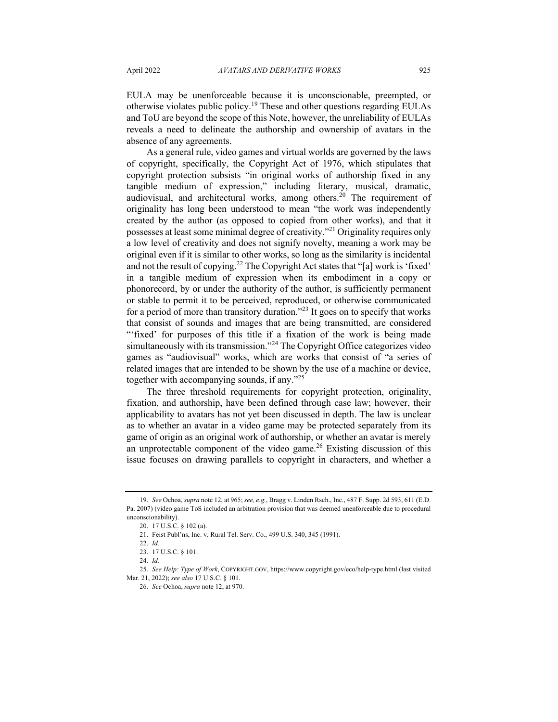EULA may be unenforceable because it is unconscionable, preempted, or otherwise violates public policy.<sup>19</sup> These and other questions regarding EULAs and ToU are beyond the scope of this Note, however, the unreliability of EULAs reveals a need to delineate the authorship and ownership of avatars in the absence of any agreements.

As a general rule, video games and virtual worlds are governed by the laws of copyright, specifically, the Copyright Act of 1976, which stipulates that copyright protection subsists "in original works of authorship fixed in any tangible medium of expression," including literary, musical, dramatic, audiovisual, and architectural works, among others.20 The requirement of originality has long been understood to mean "the work was independently created by the author (as opposed to copied from other works), and that it possesses at least some minimal degree of creativity."<sup>21</sup> Originality requires only a low level of creativity and does not signify novelty, meaning a work may be original even if it is similar to other works, so long as the similarity is incidental and not the result of copying.<sup>22</sup> The Copyright Act states that "[a] work is 'fixed' in a tangible medium of expression when its embodiment in a copy or phonorecord, by or under the authority of the author, is sufficiently permanent or stable to permit it to be perceived, reproduced, or otherwise communicated for a period of more than transitory duration."<sup>23</sup> It goes on to specify that works that consist of sounds and images that are being transmitted, are considered "'fixed' for purposes of this title if a fixation of the work is being made simultaneously with its transmission."<sup>24</sup> The Copyright Office categorizes video games as "audiovisual" works, which are works that consist of "a series of related images that are intended to be shown by the use of a machine or device, together with accompanying sounds, if any."<sup>25</sup>

The three threshold requirements for copyright protection, originality, fixation, and authorship, have been defined through case law; however, their applicability to avatars has not yet been discussed in depth. The law is unclear as to whether an avatar in a video game may be protected separately from its game of origin as an original work of authorship, or whether an avatar is merely an unprotectable component of the video game.<sup>26</sup> Existing discussion of this issue focuses on drawing parallels to copyright in characters, and whether a

<sup>19.</sup> *See* Ochoa, *supra* note 12, at 965; *see, e.g.*, Bragg v. Linden Rsch., Inc., 487 F. Supp. 2d 593, 611 (E.D. Pa. 2007) (video game ToS included an arbitration provision that was deemed unenforceable due to procedural unconscionability).

<sup>20.</sup> 17 U.S.C. § 102 (a).

<sup>21.</sup> Feist Publ'ns, Inc. v. Rural Tel. Serv. Co., 499 U.S. 340, 345 (1991).

<sup>22.</sup> *Id.*

<sup>23.</sup> 17 U.S.C. § 101.

<sup>24.</sup> *Id.*

<sup>25.</sup> *See Help: Type of Work*, COPYRIGHT.GOV, https://www.copyright.gov/eco/help-type.html (last visited Mar. 21, 2022); *see also* 17 U.S.C. § 101.

<sup>26.</sup> *See* Ochoa, *supra* note 12, at 970.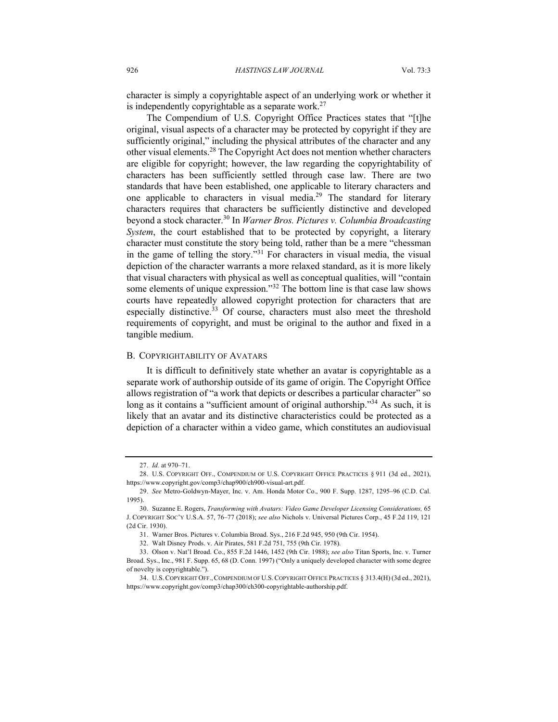character is simply a copyrightable aspect of an underlying work or whether it is independently copyrightable as a separate work.<sup>27</sup>

The Compendium of U.S. Copyright Office Practices states that "[t]he original, visual aspects of a character may be protected by copyright if they are sufficiently original," including the physical attributes of the character and any other visual elements.<sup>28</sup> The Copyright Act does not mention whether characters are eligible for copyright; however, the law regarding the copyrightability of characters has been sufficiently settled through case law. There are two standards that have been established, one applicable to literary characters and one applicable to characters in visual media.<sup>29</sup> The standard for literary characters requires that characters be sufficiently distinctive and developed beyond a stock character.30 In *Warner Bros. Pictures v. Columbia Broadcasting System*, the court established that to be protected by copyright, a literary character must constitute the story being told, rather than be a mere "chessman in the game of telling the story."<sup>31</sup> For characters in visual media, the visual depiction of the character warrants a more relaxed standard, as it is more likely that visual characters with physical as well as conceptual qualities, will "contain some elements of unique expression."<sup>32</sup> The bottom line is that case law shows courts have repeatedly allowed copyright protection for characters that are especially distinctive.<sup>33</sup> Of course, characters must also meet the threshold requirements of copyright, and must be original to the author and fixed in a tangible medium.

#### B. COPYRIGHTABILITY OF AVATARS

It is difficult to definitively state whether an avatar is copyrightable as a separate work of authorship outside of its game of origin. The Copyright Office allows registration of "a work that depicts or describes a particular character" so long as it contains a "sufficient amount of original authorship."<sup>34</sup> As such, it is likely that an avatar and its distinctive characteristics could be protected as a depiction of a character within a video game, which constitutes an audiovisual

<sup>27.</sup> *Id.* at 970–71.

<sup>28.</sup> U.S. COPYRIGHT OFF., COMPENDIUM OF U.S. COPYRIGHT OFFICE PRACTICES § 911 (3d ed., 2021), https://www.copyright.gov/comp3/chap900/ch900-visual-art.pdf.

<sup>29.</sup> *See* Metro-Goldwyn-Mayer, Inc. v. Am. Honda Motor Co., 900 F. Supp. 1287, 1295–96 (C.D. Cal. 1995).

<sup>30.</sup> Suzanne E. Rogers, *Transforming with Avatars: Video Game Developer Licensing Considerations,* 65 J. COPYRIGHT SOC'Y U.S.A. 57, 76–77 (2018); *see also* Nichols v. Universal Pictures Corp., 45 F.2d 119, 121 (2d Cir. 1930).

<sup>31.</sup> Warner Bros. Pictures v. Columbia Broad. Sys., 216 F.2d 945, 950 (9th Cir. 1954).

<sup>32.</sup> Walt Disney Prods. v. Air Pirates, 581 F.2d 751, 755 (9th Cir. 1978).

<sup>33.</sup> Olson v. Nat'l Broad. Co., 855 F.2d 1446, 1452 (9th Cir. 1988); *see also* Titan Sports, Inc. v. Turner Broad. Sys., Inc., 981 F. Supp. 65, 68 (D. Conn. 1997) ("Only a uniquely developed character with some degree of novelty is copyrightable.").

<sup>34.</sup> U.S.COPYRIGHT OFF.,COMPENDIUM OF U.S.COPYRIGHT OFFICE PRACTICES § 313.4(H) (3d ed., 2021), https://www.copyright.gov/comp3/chap300/ch300-copyrightable-authorship.pdf.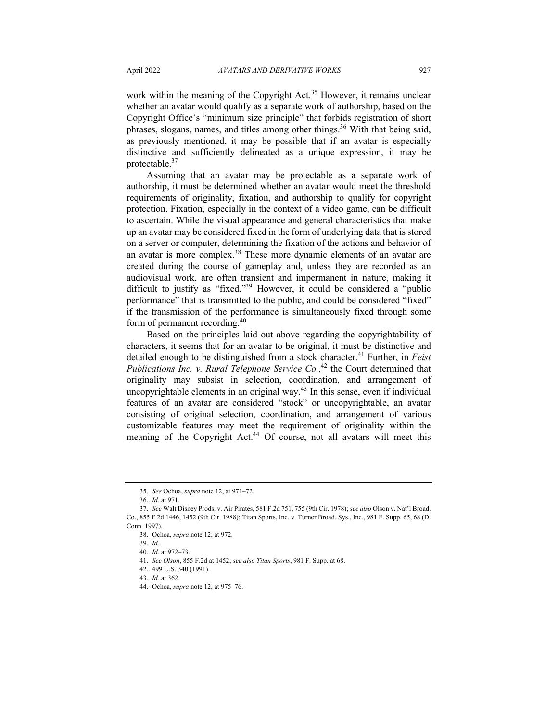work within the meaning of the Copyright Act.<sup>35</sup> However, it remains unclear whether an avatar would qualify as a separate work of authorship, based on the Copyright Office's "minimum size principle" that forbids registration of short phrases, slogans, names, and titles among other things.<sup>36</sup> With that being said, as previously mentioned, it may be possible that if an avatar is especially distinctive and sufficiently delineated as a unique expression, it may be protectable.37

Assuming that an avatar may be protectable as a separate work of authorship, it must be determined whether an avatar would meet the threshold requirements of originality, fixation, and authorship to qualify for copyright protection. Fixation, especially in the context of a video game, can be difficult to ascertain. While the visual appearance and general characteristics that make up an avatar may be considered fixed in the form of underlying data that is stored on a server or computer, determining the fixation of the actions and behavior of an avatar is more complex.<sup>38</sup> These more dynamic elements of an avatar are created during the course of gameplay and, unless they are recorded as an audiovisual work, are often transient and impermanent in nature, making it difficult to justify as "fixed."39 However, it could be considered a "public performance" that is transmitted to the public, and could be considered "fixed" if the transmission of the performance is simultaneously fixed through some form of permanent recording.<sup>40</sup>

Based on the principles laid out above regarding the copyrightability of characters, it seems that for an avatar to be original, it must be distinctive and detailed enough to be distinguished from a stock character.<sup>41</sup> Further, in *Feist Publications Inc. v. Rural Telephone Service Co.*, <sup>42</sup> the Court determined that originality may subsist in selection, coordination, and arrangement of uncopyrightable elements in an original way. $43$  In this sense, even if individual features of an avatar are considered "stock" or uncopyrightable, an avatar consisting of original selection, coordination, and arrangement of various customizable features may meet the requirement of originality within the meaning of the Copyright Act.<sup>44</sup> Of course, not all avatars will meet this

<sup>35.</sup> *See* Ochoa, *supra* note 12, at 971–72.

<sup>36.</sup> *Id.* at 971.

<sup>37.</sup> *See* Walt Disney Prods. v. Air Pirates, 581 F.2d 751, 755 (9th Cir. 1978); *see also* Olson v. Nat'l Broad. Co., 855 F.2d 1446, 1452 (9th Cir. 1988); Titan Sports, Inc. v. Turner Broad. Sys., Inc., 981 F. Supp. 65, 68 (D. Conn. 1997).

<sup>38.</sup> Ochoa, *supra* note 12, at 972.

<sup>39</sup>*. Id.*

<sup>40.</sup> *Id*. at 972–73.

<sup>41.</sup> *See Olson*, 855 F.2d at 1452; *see also Titan Sports*, 981 F. Supp. at 68.

<sup>42.</sup> 499 U.S. 340 (1991).

<sup>43.</sup> *Id.* at 362.

<sup>44.</sup> Ochoa, *supra* note 12, at 975–76.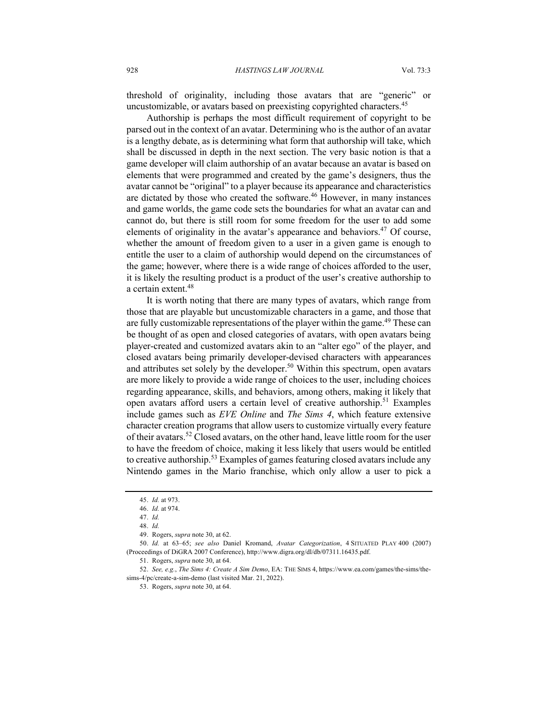threshold of originality, including those avatars that are "generic" or uncustomizable, or avatars based on preexisting copyrighted characters.<sup>45</sup>

Authorship is perhaps the most difficult requirement of copyright to be parsed out in the context of an avatar. Determining who is the author of an avatar is a lengthy debate, as is determining what form that authorship will take, which shall be discussed in depth in the next section. The very basic notion is that a game developer will claim authorship of an avatar because an avatar is based on elements that were programmed and created by the game's designers, thus the avatar cannot be "original" to a player because its appearance and characteristics are dictated by those who created the software. $46$  However, in many instances and game worlds, the game code sets the boundaries for what an avatar can and cannot do, but there is still room for some freedom for the user to add some elements of originality in the avatar's appearance and behaviors.<sup>47</sup> Of course, whether the amount of freedom given to a user in a given game is enough to entitle the user to a claim of authorship would depend on the circumstances of the game; however, where there is a wide range of choices afforded to the user, it is likely the resulting product is a product of the user's creative authorship to a certain extent.<sup>48</sup>

It is worth noting that there are many types of avatars, which range from those that are playable but uncustomizable characters in a game, and those that are fully customizable representations of the player within the game.<sup>49</sup> These can be thought of as open and closed categories of avatars, with open avatars being player-created and customized avatars akin to an "alter ego" of the player, and closed avatars being primarily developer-devised characters with appearances and attributes set solely by the developer.<sup>50</sup> Within this spectrum, open avatars are more likely to provide a wide range of choices to the user, including choices regarding appearance, skills, and behaviors, among others, making it likely that open avatars afford users a certain level of creative authorship.<sup>51</sup> Examples include games such as *EVE Online* and *The Sims 4*, which feature extensive character creation programs that allow users to customize virtually every feature of their avatars.<sup>52</sup> Closed avatars, on the other hand, leave little room for the user to have the freedom of choice, making it less likely that users would be entitled to creative authorship.<sup>53</sup> Examples of games featuring closed avatars include any Nintendo games in the Mario franchise, which only allow a user to pick a

53. Rogers, *supra* note 30, at 64.

<sup>45.</sup> *Id.* at 973.

<sup>46.</sup> *Id.* at 974.

<sup>47.</sup> *Id.*

<sup>48.</sup> *Id.*

<sup>49.</sup> Rogers, *supra* note 30, at 62.

<sup>50.</sup> *Id.* at 63–65; *see also* Daniel Kromand, *Avatar Categorization*, 4 SITUATED PLAY 400 (2007) (Proceedings of DiGRA 2007 Conference), http://www.digra.org/dl/db/07311.16435.pdf.

<sup>51.</sup> Rogers, *supra* note 30, at 64.

<sup>52.</sup> *See, e.g.*, *The Sims 4: Create A Sim Demo*, EA: THE SIMS 4, https://www.ea.com/games/the-sims/thesims-4/pc/create-a-sim-demo (last visited Mar. 21, 2022).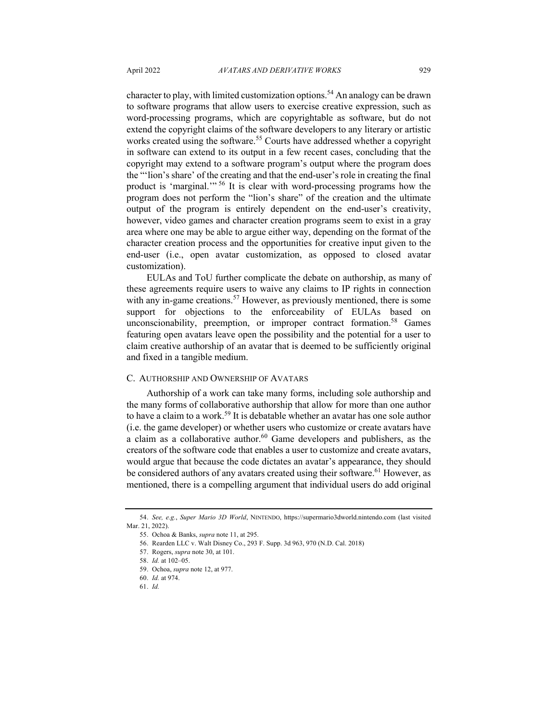character to play, with limited customization options.<sup>54</sup> An analogy can be drawn to software programs that allow users to exercise creative expression, such as word-processing programs, which are copyrightable as software, but do not extend the copyright claims of the software developers to any literary or artistic works created using the software.<sup>55</sup> Courts have addressed whether a copyright in software can extend to its output in a few recent cases, concluding that the copyright may extend to a software program's output where the program does the "'lion's share' of the creating and that the end-user's role in creating the final product is 'marginal.'" <sup>56</sup> It is clear with word-processing programs how the program does not perform the "lion's share" of the creation and the ultimate output of the program is entirely dependent on the end-user's creativity, however, video games and character creation programs seem to exist in a gray area where one may be able to argue either way, depending on the format of the character creation process and the opportunities for creative input given to the end-user (i.e., open avatar customization, as opposed to closed avatar customization).

EULAs and ToU further complicate the debate on authorship, as many of these agreements require users to waive any claims to IP rights in connection with any in-game creations.<sup>57</sup> However, as previously mentioned, there is some support for objections to the enforceability of EULAs based on unconscionability, preemption, or improper contract formation.<sup>58</sup> Games featuring open avatars leave open the possibility and the potential for a user to claim creative authorship of an avatar that is deemed to be sufficiently original and fixed in a tangible medium.

### C. AUTHORSHIP AND OWNERSHIP OF AVATARS

Authorship of a work can take many forms, including sole authorship and the many forms of collaborative authorship that allow for more than one author to have a claim to a work.<sup>59</sup> It is debatable whether an avatar has one sole author (i.e. the game developer) or whether users who customize or create avatars have a claim as a collaborative author.<sup>60</sup> Game developers and publishers, as the creators of the software code that enables a user to customize and create avatars, would argue that because the code dictates an avatar's appearance, they should be considered authors of any avatars created using their software.<sup>61</sup> However, as mentioned, there is a compelling argument that individual users do add original

<sup>54.</sup> *See, e.g.*, *Super Mario 3D World*, NINTENDO, https://supermario3dworld.nintendo.com (last visited Mar. 21, 2022).

<sup>55.</sup> Ochoa & Banks, *supra* note 11, at 295.

<sup>56.</sup> Rearden LLC v. Walt Disney Co., 293 F. Supp. 3d 963, 970 (N.D. Cal. 2018)

<sup>57.</sup> Rogers, *supra* note 30, at 101.

<sup>58.</sup> *Id.* at 102–05.

<sup>59.</sup> Ochoa, *supra* note 12, at 977.

<sup>60.</sup> *Id.* at 974.

<sup>61.</sup> *Id.*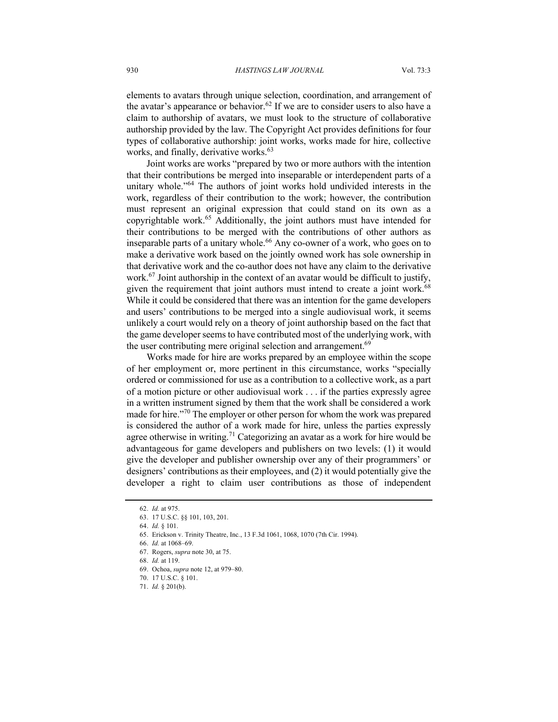elements to avatars through unique selection, coordination, and arrangement of the avatar's appearance or behavior.<sup>62</sup> If we are to consider users to also have a claim to authorship of avatars, we must look to the structure of collaborative authorship provided by the law. The Copyright Act provides definitions for four types of collaborative authorship: joint works, works made for hire, collective works, and finally, derivative works.<sup>63</sup>

Joint works are works "prepared by two or more authors with the intention that their contributions be merged into inseparable or interdependent parts of a unitary whole."<sup>64</sup> The authors of joint works hold undivided interests in the work, regardless of their contribution to the work; however, the contribution must represent an original expression that could stand on its own as a copyrightable work.<sup>65</sup> Additionally, the joint authors must have intended for their contributions to be merged with the contributions of other authors as inseparable parts of a unitary whole.<sup>66</sup> Any co-owner of a work, who goes on to make a derivative work based on the jointly owned work has sole ownership in that derivative work and the co-author does not have any claim to the derivative work.<sup>67</sup> Joint authorship in the context of an avatar would be difficult to justify, given the requirement that joint authors must intend to create a joint work.<sup>68</sup> While it could be considered that there was an intention for the game developers and users' contributions to be merged into a single audiovisual work, it seems unlikely a court would rely on a theory of joint authorship based on the fact that the game developer seems to have contributed most of the underlying work, with the user contributing mere original selection and arrangement.<sup>69</sup>

Works made for hire are works prepared by an employee within the scope of her employment or, more pertinent in this circumstance, works "specially ordered or commissioned for use as a contribution to a collective work, as a part of a motion picture or other audiovisual work . . . if the parties expressly agree in a written instrument signed by them that the work shall be considered a work made for hire."<sup>70</sup> The employer or other person for whom the work was prepared is considered the author of a work made for hire, unless the parties expressly agree otherwise in writing.<sup>71</sup> Categorizing an avatar as a work for hire would be advantageous for game developers and publishers on two levels: (1) it would give the developer and publisher ownership over any of their programmers' or designers' contributions as their employees, and (2) it would potentially give the developer a right to claim user contributions as those of independent

<sup>62.</sup> *Id.* at 975.

<sup>63.</sup> 17 U.S.C. §§ 101, 103, 201.

<sup>64.</sup> *Id.* § 101.

<sup>65.</sup> Erickson v. Trinity Theatre, Inc*.*, 13 F.3d 1061, 1068, 1070 (7th Cir. 1994).

<sup>66.</sup> *Id.* at 1068–69.

<sup>67.</sup> Rogers, *supra* note 30, at 75. 68. *Id.* at 119.

<sup>69.</sup> Ochoa, *supra* note 12, at 979–80.

<sup>70.</sup> 17 U.S.C. § 101.

<sup>71.</sup> *Id.* § 201(b).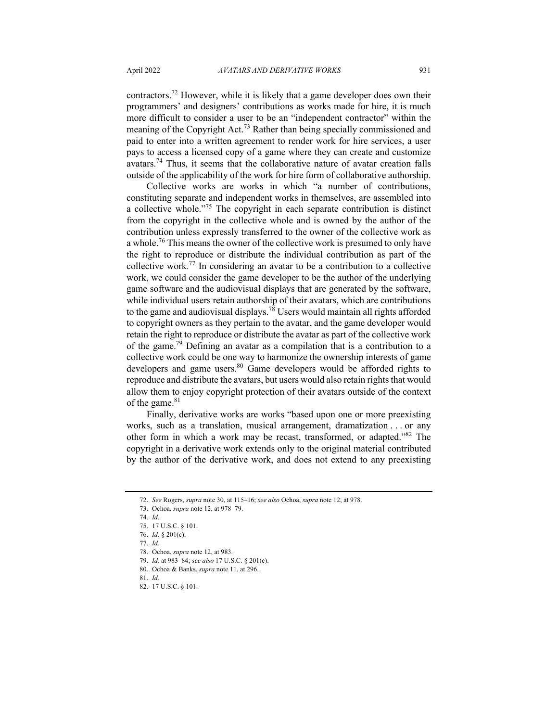contractors.<sup>72</sup> However, while it is likely that a game developer does own their programmers' and designers' contributions as works made for hire, it is much more difficult to consider a user to be an "independent contractor" within the meaning of the Copyright Act.<sup>73</sup> Rather than being specially commissioned and paid to enter into a written agreement to render work for hire services, a user pays to access a licensed copy of a game where they can create and customize avatars.<sup>74</sup> Thus, it seems that the collaborative nature of avatar creation falls outside of the applicability of the work for hire form of collaborative authorship.

Collective works are works in which "a number of contributions, constituting separate and independent works in themselves, are assembled into a collective whole."<sup>75</sup> The copyright in each separate contribution is distinct from the copyright in the collective whole and is owned by the author of the contribution unless expressly transferred to the owner of the collective work as a whole.<sup>76</sup> This means the owner of the collective work is presumed to only have the right to reproduce or distribute the individual contribution as part of the collective work.<sup>77</sup> In considering an avatar to be a contribution to a collective work, we could consider the game developer to be the author of the underlying game software and the audiovisual displays that are generated by the software, while individual users retain authorship of their avatars, which are contributions to the game and audiovisual displays.<sup>78</sup> Users would maintain all rights afforded to copyright owners as they pertain to the avatar, and the game developer would retain the right to reproduce or distribute the avatar as part of the collective work of the game.79 Defining an avatar as a compilation that is a contribution to a collective work could be one way to harmonize the ownership interests of game developers and game users.<sup>80</sup> Game developers would be afforded rights to reproduce and distribute the avatars, but users would also retain rights that would allow them to enjoy copyright protection of their avatars outside of the context of the game.<sup>81</sup>

Finally, derivative works are works "based upon one or more preexisting works, such as a translation, musical arrangement, dramatization . . . or any other form in which a work may be recast, transformed, or adapted."82 The copyright in a derivative work extends only to the original material contributed by the author of the derivative work, and does not extend to any preexisting

<sup>72.</sup> *See* Rogers, *supra* note 30, at 115–16; *see also* Ochoa, *supra* note 12, at 978.

<sup>73.</sup> Ochoa, *supra* note 12, at 978–79.

<sup>74.</sup> *Id.*

<sup>75.</sup> 17 U.S.C. § 101.

<sup>76.</sup> *Id.* § 201(c).

<sup>77.</sup> *Id.*

<sup>78.</sup> Ochoa, *supra* note 12, at 983.

<sup>79.</sup> *Id.* at 983–84; *see also* 17 U.S.C. § 201(c).

<sup>80.</sup> Ochoa & Banks, *supra* note 11, at 296.

<sup>81.</sup> *Id.*

<sup>82.</sup> 17 U.S.C. § 101.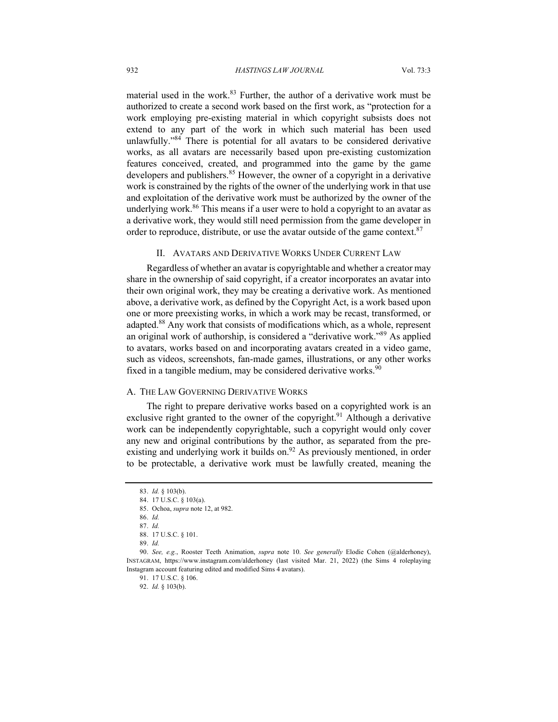material used in the work. $83$  Further, the author of a derivative work must be authorized to create a second work based on the first work, as "protection for a work employing pre-existing material in which copyright subsists does not extend to any part of the work in which such material has been used unlawfully."84 There is potential for all avatars to be considered derivative works, as all avatars are necessarily based upon pre-existing customization features conceived, created, and programmed into the game by the game developers and publishers.<sup>85</sup> However, the owner of a copyright in a derivative work is constrained by the rights of the owner of the underlying work in that use and exploitation of the derivative work must be authorized by the owner of the underlying work.<sup>86</sup> This means if a user were to hold a copyright to an avatar as a derivative work, they would still need permission from the game developer in order to reproduce, distribute, or use the avatar outside of the game context. $87$ 

#### II. AVATARS AND DERIVATIVE WORKS UNDER CURRENT LAW

Regardless of whether an avatar is copyrightable and whether a creator may share in the ownership of said copyright, if a creator incorporates an avatar into their own original work, they may be creating a derivative work. As mentioned above, a derivative work, as defined by the Copyright Act, is a work based upon one or more preexisting works, in which a work may be recast, transformed, or adapted.<sup>88</sup> Any work that consists of modifications which, as a whole, represent an original work of authorship, is considered a "derivative work."89 As applied to avatars, works based on and incorporating avatars created in a video game, such as videos, screenshots, fan-made games, illustrations, or any other works fixed in a tangible medium, may be considered derivative works.<sup>90</sup>

#### A. THE LAW GOVERNING DERIVATIVE WORKS

The right to prepare derivative works based on a copyrighted work is an exclusive right granted to the owner of the copyright.<sup>91</sup> Although a derivative work can be independently copyrightable, such a copyright would only cover any new and original contributions by the author, as separated from the preexisting and underlying work it builds on.<sup>92</sup> As previously mentioned, in order to be protectable, a derivative work must be lawfully created, meaning the

<sup>83.</sup> *Id.* § 103(b).

<sup>84.</sup> 17 U.S.C. § 103(a).

<sup>85.</sup> Ochoa, *supra* note 12, at 982.

<sup>86.</sup> *Id.*

<sup>87.</sup> *Id.*

<sup>88.</sup> 17 U.S.C. § 101.

<sup>89.</sup> *Id.*

<sup>90.</sup> *See, e.g.*, Rooster Teeth Animation, *supra* note 10. *See generally* Elodie Cohen (@alderhoney), INSTAGRAM, https://www.instagram.com/alderhoney (last visited Mar. 21, 2022) (the Sims 4 roleplaying Instagram account featuring edited and modified Sims 4 avatars).

<sup>91.</sup> 17 U.S.C. § 106.

<sup>92.</sup> *Id.* § 103(b).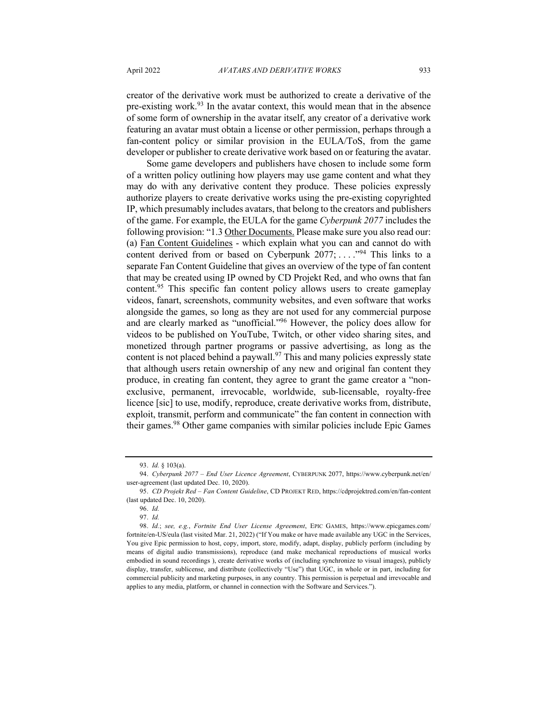creator of the derivative work must be authorized to create a derivative of the pre-existing work.<sup>93</sup> In the avatar context, this would mean that in the absence of some form of ownership in the avatar itself, any creator of a derivative work featuring an avatar must obtain a license or other permission, perhaps through a fan-content policy or similar provision in the EULA/ToS, from the game developer or publisher to create derivative work based on or featuring the avatar.

Some game developers and publishers have chosen to include some form of a written policy outlining how players may use game content and what they may do with any derivative content they produce. These policies expressly authorize players to create derivative works using the pre-existing copyrighted IP, which presumably includes avatars, that belong to the creators and publishers of the game. For example, the EULA for the game *Cyberpunk 2077* includes the following provision: "1.3 Other Documents. Please make sure you also read our: (a) Fan Content Guidelines - which explain what you can and cannot do with content derived from or based on Cyberpunk  $2077$ ; ... .<sup>"94</sup> This links to a separate Fan Content Guideline that gives an overview of the type of fan content that may be created using IP owned by CD Projekt Red, and who owns that fan content.<sup>95</sup> This specific fan content policy allows users to create gameplay videos, fanart, screenshots, community websites, and even software that works alongside the games, so long as they are not used for any commercial purpose and are clearly marked as "unofficial."96 However, the policy does allow for videos to be published on YouTube, Twitch, or other video sharing sites, and monetized through partner programs or passive advertising, as long as the content is not placed behind a paywall. $97$  This and many policies expressly state that although users retain ownership of any new and original fan content they produce, in creating fan content, they agree to grant the game creator a "nonexclusive, permanent, irrevocable, worldwide, sub-licensable, royalty-free licence [sic] to use, modify, reproduce, create derivative works from, distribute, exploit, transmit, perform and communicate" the fan content in connection with their games.98 Other game companies with similar policies include Epic Games

<sup>93.</sup> *Id.* § 103(a).

<sup>94.</sup> *Cyberpunk 2077 – End User Licence Agreement*, CYBERPUNK 2077, https://www.cyberpunk.net/en/ user-agreement (last updated Dec. 10, 2020).

<sup>95.</sup> *CD Projekt Red – Fan Content Guideline*, CD PROJEKT RED, https://cdprojektred.com/en/fan-content (last updated Dec. 10, 2020).

<sup>96.</sup> *Id.*

<sup>97.</sup> *Id.*

<sup>98.</sup> *Id.*; *see, e.g.*, *Fortnite End User License Agreement*, EPIC GAMES, https://www.epicgames.com/ fortnite/en-US/eula (last visited Mar. 21, 2022) ("If You make or have made available any UGC in the Services, You give Epic permission to host, copy, import, store, modify, adapt, display, publicly perform (including by means of digital audio transmissions), reproduce (and make mechanical reproductions of musical works embodied in sound recordings ), create derivative works of (including synchronize to visual images), publicly display, transfer, sublicense, and distribute (collectively "Use") that UGC, in whole or in part, including for commercial publicity and marketing purposes, in any country. This permission is perpetual and irrevocable and applies to any media, platform, or channel in connection with the Software and Services.").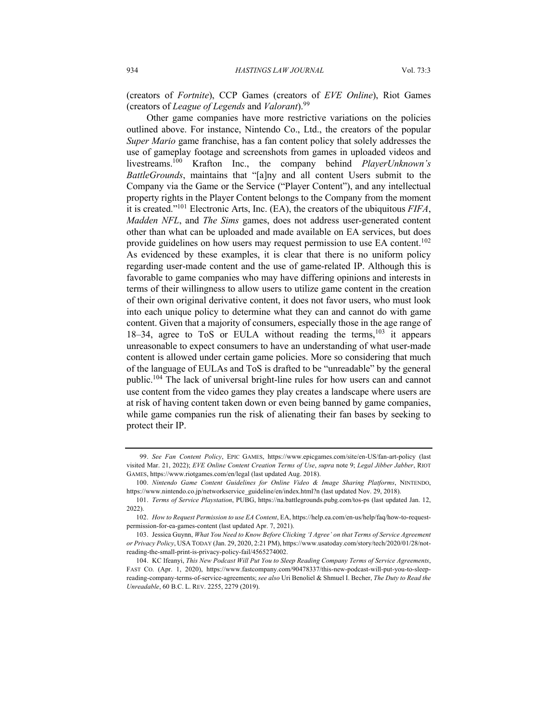(creators of *Fortnite*), CCP Games (creators of *EVE Online*), Riot Games (creators of *League of Legends* and *Valorant*).99

Other game companies have more restrictive variations on the policies outlined above. For instance, Nintendo Co., Ltd., the creators of the popular *Super Mario* game franchise, has a fan content policy that solely addresses the use of gameplay footage and screenshots from games in uploaded videos and livestreams.100 Krafton Inc., the company behind *PlayerUnknown's BattleGrounds*, maintains that "[a]ny and all content Users submit to the Company via the Game or the Service ("Player Content"), and any intellectual property rights in the Player Content belongs to the Company from the moment it is created."101 Electronic Arts, Inc. (EA), the creators of the ubiquitous *FIFA*, *Madden NFL*, and *The Sims* games, does not address user-generated content other than what can be uploaded and made available on EA services, but does provide guidelines on how users may request permission to use EA content.<sup>102</sup> As evidenced by these examples, it is clear that there is no uniform policy regarding user-made content and the use of game-related IP. Although this is favorable to game companies who may have differing opinions and interests in terms of their willingness to allow users to utilize game content in the creation of their own original derivative content, it does not favor users, who must look into each unique policy to determine what they can and cannot do with game content. Given that a majority of consumers, especially those in the age range of 18–34, agree to ToS or EULA without reading the terms, $103$  it appears unreasonable to expect consumers to have an understanding of what user-made content is allowed under certain game policies. More so considering that much of the language of EULAs and ToS is drafted to be "unreadable" by the general public.104 The lack of universal bright-line rules for how users can and cannot use content from the video games they play creates a landscape where users are at risk of having content taken down or even being banned by game companies, while game companies run the risk of alienating their fan bases by seeking to protect their IP.

<sup>99.</sup> *See Fan Content Policy*, EPIC GAMES, https://www.epicgames.com/site/en-US/fan-art-policy (last visited Mar. 21, 2022); *EVE Online Content Creation Terms of Use*, *supra* note 9; *Legal Jibber Jabber*, RIOT GAMES, https://www.riotgames.com/en/legal (last updated Aug. 2018).

<sup>100.</sup> *Nintendo Game Content Guidelines for Online Video & Image Sharing Platforms*, NINTENDO, https://www.nintendo.co.jp/networkservice\_guideline/en/index.html?n (last updated Nov. 29, 2018).

<sup>101.</sup> *Terms of Service Playstation*, PUBG, https://na.battlegrounds.pubg.com/tos-ps (last updated Jan. 12, 2022).

<sup>102.</sup> *How to Request Permission to use EA Content*, EA, https://help.ea.com/en-us/help/faq/how-to-requestpermission-for-ea-games-content (last updated Apr. 7, 2021).

<sup>103.</sup> Jessica Guynn, *What You Need to Know Before Clicking 'I Agree' on that Terms of Service Agreement or Privacy Policy*, USA TODAY (Jan. 29, 2020, 2:21 PM), https://www.usatoday.com/story/tech/2020/01/28/notreading-the-small-print-is-privacy-policy-fail/4565274002.

<sup>104.</sup> KC Ifeanyi, *This New Podcast Will Put You to Sleep Reading Company Terms of Service Agreements*, FAST CO. (Apr. 1, 2020), https://www.fastcompany.com/90478337/this-new-podcast-will-put-you-to-sleepreading-company-terms-of-service-agreements; *see also* Uri Benoliel & Shmuel I. Becher, *The Duty to Read the Unreadable*, 60 B.C. L. REV. 2255, 2279 (2019).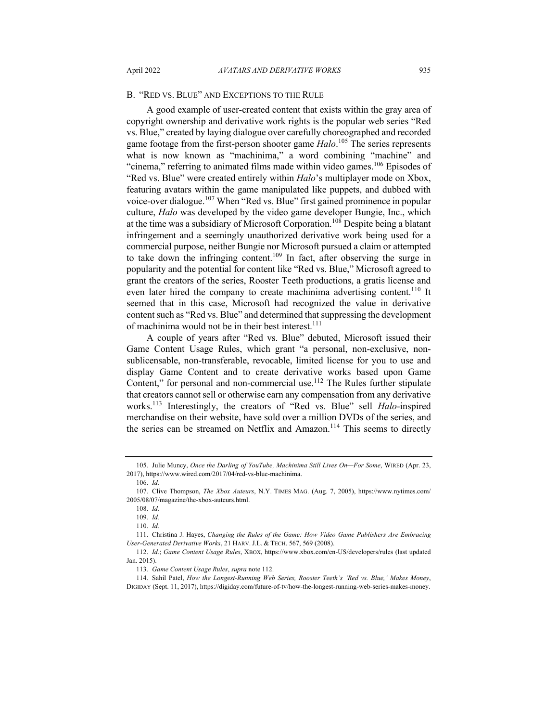#### B. "RED VS. BLUE" AND EXCEPTIONS TO THE RULE

A good example of user-created content that exists within the gray area of copyright ownership and derivative work rights is the popular web series "Red vs. Blue," created by laying dialogue over carefully choreographed and recorded game footage from the first-person shooter game *Halo*. <sup>105</sup> The series represents what is now known as "machinima," a word combining "machine" and "cinema," referring to animated films made within video games.<sup>106</sup> Episodes of "Red vs. Blue" were created entirely within *Halo*'s multiplayer mode on Xbox, featuring avatars within the game manipulated like puppets, and dubbed with voice-over dialogue.<sup>107</sup> When "Red vs. Blue" first gained prominence in popular culture, *Halo* was developed by the video game developer Bungie, Inc., which at the time was a subsidiary of Microsoft Corporation.<sup>108</sup> Despite being a blatant infringement and a seemingly unauthorized derivative work being used for a commercial purpose, neither Bungie nor Microsoft pursued a claim or attempted to take down the infringing content.<sup>109</sup> In fact, after observing the surge in popularity and the potential for content like "Red vs. Blue," Microsoft agreed to grant the creators of the series, Rooster Teeth productions, a gratis license and even later hired the company to create machinima advertising content.<sup>110</sup> It seemed that in this case, Microsoft had recognized the value in derivative content such as "Red vs. Blue" and determined that suppressing the development of machinima would not be in their best interest.<sup>111</sup>

A couple of years after "Red vs. Blue" debuted, Microsoft issued their Game Content Usage Rules, which grant "a personal, non-exclusive, nonsublicensable, non-transferable, revocable, limited license for you to use and display Game Content and to create derivative works based upon Game Content," for personal and non-commercial use.<sup>112</sup> The Rules further stipulate that creators cannot sell or otherwise earn any compensation from any derivative works.<sup>113</sup> Interestingly, the creators of "Red vs. Blue" sell *Halo*-inspired merchandise on their website, have sold over a million DVDs of the series, and the series can be streamed on Netflix and Amazon.<sup>114</sup> This seems to directly

<sup>105.</sup> Julie Muncy, *Once the Darling of YouTube, Machinima Still Lives On—For Some*, WIRED (Apr. 23, 2017), https://www.wired.com/2017/04/red-vs-blue-machinima.

<sup>106.</sup> *Id.*

<sup>107.</sup> Clive Thompson, *The Xbox Auteurs*, N.Y. TIMES MAG. (Aug. 7, 2005), https://www.nytimes.com/ 2005/08/07/magazine/the-xbox-auteurs.html.

<sup>108.</sup> *Id.* 109. *Id.*

<sup>110.</sup> *Id.*

<sup>111.</sup> Christina J. Hayes, *Changing the Rules of the Game: How Video Game Publishers Are Embracing User-Generated Derivative Works*, 21 HARV. J.L. & TECH. 567, 569 (2008).

<sup>112.</sup> *Id.*; *Game Content Usage Rules*, XBOX, https://www.xbox.com/en-US/developers/rules (last updated Jan. 2015).

<sup>113.</sup> *Game Content Usage Rules*, *supra* note 112.

<sup>114.</sup> Sahil Patel, *How the Longest-Running Web Series, Rooster Teeth's 'Red vs. Blue,' Makes Money*, DIGIDAY (Sept. 11, 2017), https://digiday.com/future-of-tv/how-the-longest-running-web-series-makes-money.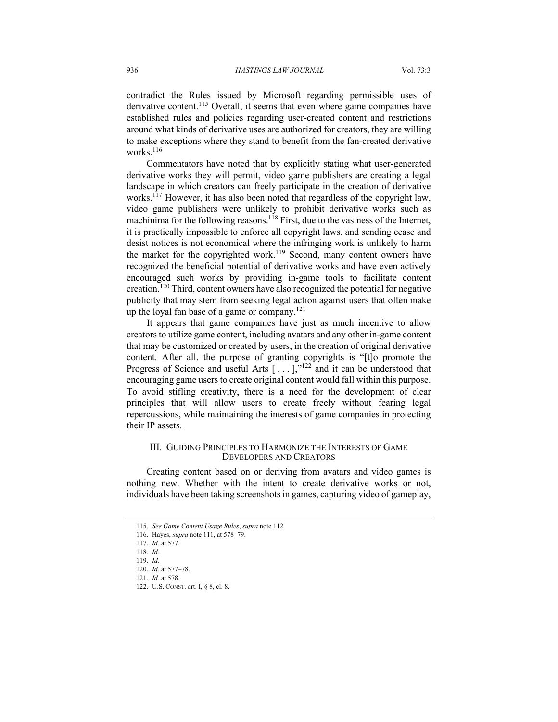contradict the Rules issued by Microsoft regarding permissible uses of derivative content.<sup>115</sup> Overall, it seems that even where game companies have established rules and policies regarding user-created content and restrictions around what kinds of derivative uses are authorized for creators, they are willing to make exceptions where they stand to benefit from the fan-created derivative works. $116$ 

Commentators have noted that by explicitly stating what user-generated derivative works they will permit, video game publishers are creating a legal landscape in which creators can freely participate in the creation of derivative works.<sup>117</sup> However, it has also been noted that regardless of the copyright law, video game publishers were unlikely to prohibit derivative works such as machinima for the following reasons.<sup>118</sup> First, due to the vastness of the Internet, it is practically impossible to enforce all copyright laws, and sending cease and desist notices is not economical where the infringing work is unlikely to harm the market for the copyrighted work.<sup>119</sup> Second, many content owners have recognized the beneficial potential of derivative works and have even actively encouraged such works by providing in-game tools to facilitate content creation.<sup>120</sup> Third, content owners have also recognized the potential for negative publicity that may stem from seeking legal action against users that often make up the loyal fan base of a game or company.<sup>121</sup>

It appears that game companies have just as much incentive to allow creators to utilize game content, including avatars and any other in-game content that may be customized or created by users, in the creation of original derivative content. After all, the purpose of granting copyrights is "[t]o promote the Progress of Science and useful Arts  $[\ldots]$ ,"<sup>122</sup> and it can be understood that encouraging game users to create original content would fall within this purpose. To avoid stifling creativity, there is a need for the development of clear principles that will allow users to create freely without fearing legal repercussions, while maintaining the interests of game companies in protecting their IP assets.

#### III. GUIDING PRINCIPLES TO HARMONIZE THE INTERESTS OF GAME DEVELOPERS AND CREATORS

Creating content based on or deriving from avatars and video games is nothing new. Whether with the intent to create derivative works or not, individuals have been taking screenshots in games, capturing video of gameplay,

<sup>115.</sup> *See Game Content Usage Rules*, *supra* note 112*.*

<sup>116.</sup> Hayes, *supra* note 111, at 578–79.

<sup>117.</sup> *Id.* at 577.

<sup>118.</sup> *Id.*

<sup>119.</sup> *Id.*

<sup>120.</sup> *Id.* at 577–78.

<sup>121.</sup> *Id.* at 578.

<sup>122.</sup> U.S. CONST. art. I, § 8, cl. 8.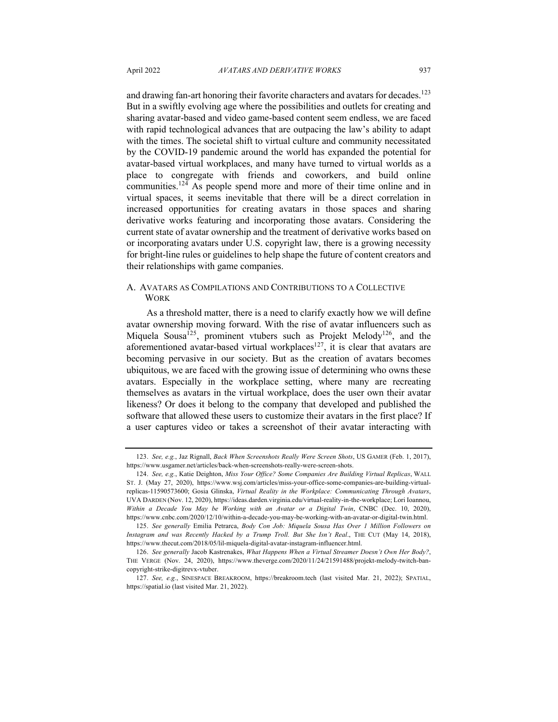and drawing fan-art honoring their favorite characters and avatars for decades.<sup>123</sup> But in a swiftly evolving age where the possibilities and outlets for creating and sharing avatar-based and video game-based content seem endless, we are faced with rapid technological advances that are outpacing the law's ability to adapt with the times. The societal shift to virtual culture and community necessitated by the COVID-19 pandemic around the world has expanded the potential for avatar-based virtual workplaces, and many have turned to virtual worlds as a place to congregate with friends and coworkers, and build online communities.124 As people spend more and more of their time online and in virtual spaces, it seems inevitable that there will be a direct correlation in increased opportunities for creating avatars in those spaces and sharing derivative works featuring and incorporating those avatars. Considering the current state of avatar ownership and the treatment of derivative works based on or incorporating avatars under U.S. copyright law, there is a growing necessity for bright-line rules or guidelines to help shape the future of content creators and their relationships with game companies.

### A. AVATARS AS COMPILATIONS AND CONTRIBUTIONS TO A COLLECTIVE **WORK**

As a threshold matter, there is a need to clarify exactly how we will define avatar ownership moving forward. With the rise of avatar influencers such as Miquela Sousa<sup>125</sup>, prominent vtubers such as Projekt Melody<sup>126</sup>, and the aforementioned avatar-based virtual workplaces<sup>127</sup>, it is clear that avatars are becoming pervasive in our society. But as the creation of avatars becomes ubiquitous, we are faced with the growing issue of determining who owns these avatars. Especially in the workplace setting, where many are recreating themselves as avatars in the virtual workplace, does the user own their avatar likeness? Or does it belong to the company that developed and published the software that allowed these users to customize their avatars in the first place? If a user captures video or takes a screenshot of their avatar interacting with

<sup>123.</sup> *See, e.g.*, Jaz Rignall, *Back When Screenshots Really Were Screen Shots*, US GAMER (Feb. 1, 2017), https://www.usgamer.net/articles/back-when-screenshots-really-were-screen-shots.

<sup>124.</sup> *See, e.g.*, Katie Deighton, *Miss Your Office? Some Companies Are Building Virtual Replicas*, WALL ST. J. (May 27, 2020), https://www.wsj.com/articles/miss-your-office-some-companies-are-building-virtualreplicas-11590573600; Gosia Glinska, *Virtual Reality in the Workplace: Communicating Through Avatars*, UVA DARDEN (Nov. 12, 2020), https://ideas.darden.virginia.edu/virtual-reality-in-the-workplace; Lori Ioannou, *Within a Decade You May be Working with an Avatar or a Digital Twin*, CNBC (Dec. 10, 2020), https://www.cnbc.com/2020/12/10/within-a-decade-you-may-be-working-with-an-avatar-or-digital-twin.html.

<sup>125.</sup> *See generally* Emilia Petrarca, *Body Con Job: Miquela Sousa Has Over 1 Million Followers on Instagram and was Recently Hacked by a Trump Troll. But She Isn't Real*., THE CUT (May 14, 2018), https://www.thecut.com/2018/05/lil-miquela-digital-avatar-instagram-influencer.html.

<sup>126.</sup> *See generally* Jacob Kastrenakes, *What Happens When a Virtual Streamer Doesn't Own Her Body?*, THE VERGE (Nov. 24, 2020), https://www.theverge.com/2020/11/24/21591488/projekt-melody-twitch-bancopyright-strike-digitrevx-vtuber.

<sup>127.</sup> *See, e.g.*, SINESPACE BREAKROOM, https://breakroom.tech (last visited Mar. 21, 2022); SPATIAL, https://spatial.io (last visited Mar. 21, 2022).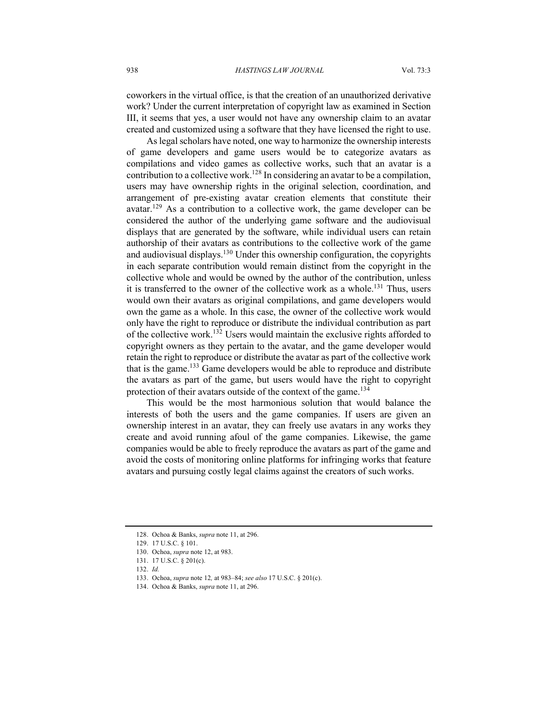coworkers in the virtual office, is that the creation of an unauthorized derivative work? Under the current interpretation of copyright law as examined in Section III, it seems that yes, a user would not have any ownership claim to an avatar created and customized using a software that they have licensed the right to use.

As legal scholars have noted, one way to harmonize the ownership interests of game developers and game users would be to categorize avatars as compilations and video games as collective works, such that an avatar is a contribution to a collective work.<sup>128</sup> In considering an avatar to be a compilation, users may have ownership rights in the original selection, coordination, and arrangement of pre-existing avatar creation elements that constitute their avatar.<sup>129</sup> As a contribution to a collective work, the game developer can be considered the author of the underlying game software and the audiovisual displays that are generated by the software, while individual users can retain authorship of their avatars as contributions to the collective work of the game and audiovisual displays.<sup>130</sup> Under this ownership configuration, the copyrights in each separate contribution would remain distinct from the copyright in the collective whole and would be owned by the author of the contribution, unless it is transferred to the owner of the collective work as a whole.<sup>131</sup> Thus, users would own their avatars as original compilations, and game developers would own the game as a whole. In this case, the owner of the collective work would only have the right to reproduce or distribute the individual contribution as part of the collective work.<sup>132</sup> Users would maintain the exclusive rights afforded to copyright owners as they pertain to the avatar, and the game developer would retain the right to reproduce or distribute the avatar as part of the collective work that is the game.<sup>133</sup> Game developers would be able to reproduce and distribute the avatars as part of the game, but users would have the right to copyright protection of their avatars outside of the context of the game.<sup>134</sup>

This would be the most harmonious solution that would balance the interests of both the users and the game companies. If users are given an ownership interest in an avatar, they can freely use avatars in any works they create and avoid running afoul of the game companies. Likewise, the game companies would be able to freely reproduce the avatars as part of the game and avoid the costs of monitoring online platforms for infringing works that feature avatars and pursuing costly legal claims against the creators of such works.

<sup>128.</sup> Ochoa & Banks, *supra* note 11, at 296.

<sup>129.</sup> 17 U.S.C. § 101.

<sup>130.</sup> Ochoa, *supra* note 12, at 983.

<sup>131.</sup> 17 U.S.C. § 201(c).

<sup>132.</sup> *Id.*

<sup>133.</sup> Ochoa, *supra* note 12*,* at 983–84; *see also* 17 U.S.C. § 201(c).

<sup>134.</sup> Ochoa & Banks, *supra* note 11, at 296.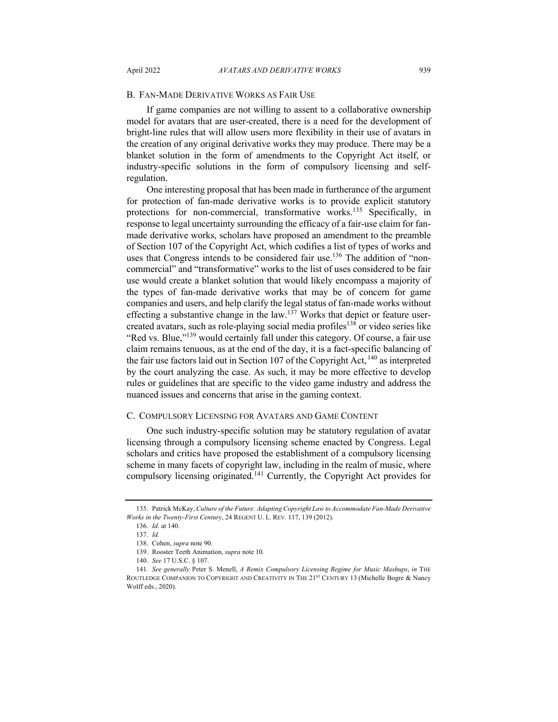#### B. FAN-MADE DERIVATIVE WORKS AS FAIR USE

If game companies are not willing to assent to a collaborative ownership model for avatars that are user-created, there is a need for the development of bright-line rules that will allow users more flexibility in their use of avatars in the creation of any original derivative works they may produce. There may be a blanket solution in the form of amendments to the Copyright Act itself, or industry-specific solutions in the form of compulsory licensing and selfregulation.

One interesting proposal that has been made in furtherance of the argument for protection of fan-made derivative works is to provide explicit statutory protections for non-commercial, transformative works.<sup>135</sup> Specifically, in response to legal uncertainty surrounding the efficacy of a fair-use claim for fanmade derivative works, scholars have proposed an amendment to the preamble of Section 107 of the Copyright Act, which codifies a list of types of works and uses that Congress intends to be considered fair use.<sup>136</sup> The addition of "noncommercial" and "transformative" works to the list of uses considered to be fair use would create a blanket solution that would likely encompass a majority of the types of fan-made derivative works that may be of concern for game companies and users, and help clarify the legal status of fan-made works without effecting a substantive change in the law.<sup>137</sup> Works that depict or feature usercreated avatars, such as role-playing social media profiles<sup>138</sup> or video series like "Red vs. Blue,"<sup>139</sup> would certainly fall under this category. Of course, a fair use claim remains tenuous, as at the end of the day, it is a fact-specific balancing of the fair use factors laid out in Section 107 of the Copyright Act,  $^{140}$  as interpreted by the court analyzing the case. As such, it may be more effective to develop rules or guidelines that are specific to the video game industry and address the nuanced issues and concerns that arise in the gaming context.

#### C. COMPULSORY LICENSING FOR AVATARS AND GAME CONTENT

One such industry-specific solution may be statutory regulation of avatar licensing through a compulsory licensing scheme enacted by Congress. Legal scholars and critics have proposed the establishment of a compulsory licensing scheme in many facets of copyright law, including in the realm of music, where compulsory licensing originated.<sup>141</sup> Currently, the Copyright Act provides for

<sup>135.</sup> Patrick McKay, *Culture of the Future: Adapting Copyright Law to Accommodate Fan-Made Derivative Works in the Twenty-First Century*, 24 REGENT U. L. REV. 117, 139 (2012).

<sup>136.</sup> *Id.* at 140.

<sup>137.</sup> *Id.*

<sup>138.</sup> Cohen, *supra* note 90.

<sup>139.</sup> Rooster Teeth Animation, *supra* note 10*.*

<sup>140.</sup> *See* 17 U.S.C. § 107.

<sup>141</sup>*. See generally* Peter S. Menell, *A Remix Compulsory Licensing Regime for Music Mashups*, *in* THE ROUTLEDGE COMPANION TO COPYRIGHT AND CREATIVITY IN THE 21<sup>ST</sup> CENTURY 13 (Michelle Bogre & Nancy Wolff eds., 2020).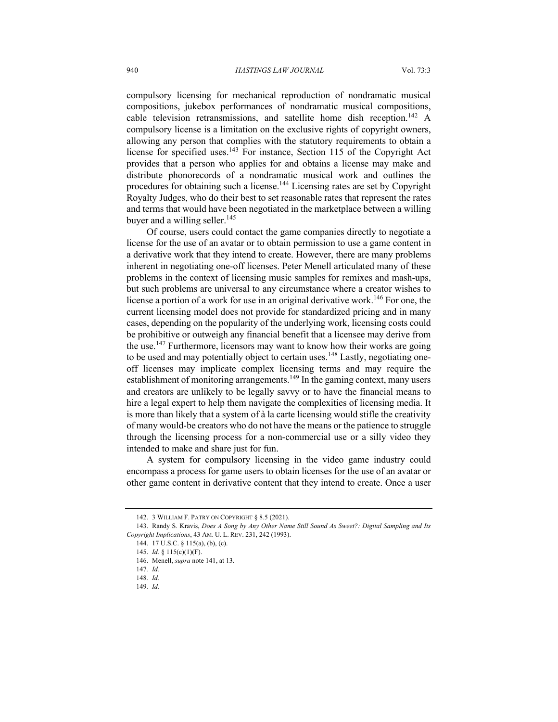compulsory licensing for mechanical reproduction of nondramatic musical compositions, jukebox performances of nondramatic musical compositions, cable television retransmissions, and satellite home dish reception.<sup>142</sup> A compulsory license is a limitation on the exclusive rights of copyright owners, allowing any person that complies with the statutory requirements to obtain a license for specified uses.<sup>143</sup> For instance, Section 115 of the Copyright Act provides that a person who applies for and obtains a license may make and distribute phonorecords of a nondramatic musical work and outlines the procedures for obtaining such a license.<sup>144</sup> Licensing rates are set by Copyright Royalty Judges, who do their best to set reasonable rates that represent the rates and terms that would have been negotiated in the marketplace between a willing buyer and a willing seller. $145$ 

Of course, users could contact the game companies directly to negotiate a license for the use of an avatar or to obtain permission to use a game content in a derivative work that they intend to create. However, there are many problems inherent in negotiating one-off licenses. Peter Menell articulated many of these problems in the context of licensing music samples for remixes and mash-ups, but such problems are universal to any circumstance where a creator wishes to license a portion of a work for use in an original derivative work.<sup>146</sup> For one, the current licensing model does not provide for standardized pricing and in many cases, depending on the popularity of the underlying work, licensing costs could be prohibitive or outweigh any financial benefit that a licensee may derive from the use.<sup>147</sup> Furthermore, licensors may want to know how their works are going to be used and may potentially object to certain uses.<sup>148</sup> Lastly, negotiating oneoff licenses may implicate complex licensing terms and may require the establishment of monitoring arrangements.<sup>149</sup> In the gaming context, many users and creators are unlikely to be legally savvy or to have the financial means to hire a legal expert to help them navigate the complexities of licensing media. It is more than likely that a system of à la carte licensing would stifle the creativity of many would-be creators who do not have the means or the patience to struggle through the licensing process for a non-commercial use or a silly video they intended to make and share just for fun.

A system for compulsory licensing in the video game industry could encompass a process for game users to obtain licenses for the use of an avatar or other game content in derivative content that they intend to create. Once a user

<sup>142.</sup> 3 WILLIAM F. PATRY ON COPYRIGHT § 8.5 (2021).

<sup>143.</sup> Randy S. Kravis, *Does A Song by Any Other Name Still Sound As Sweet?: Digital Sampling and Its Copyright Implications*, 43 AM. U. L. REV. 231, 242 (1993).

<sup>144.</sup> 17 U.S.C. § 115(a), (b), (c).

<sup>145.</sup> *Id.* § 115(c)(1)(F).

<sup>146.</sup> Menell, *supra* note 141, at 13.

<sup>147</sup>*. Id.*

<sup>148</sup>*. Id.*

<sup>149</sup>*. Id.*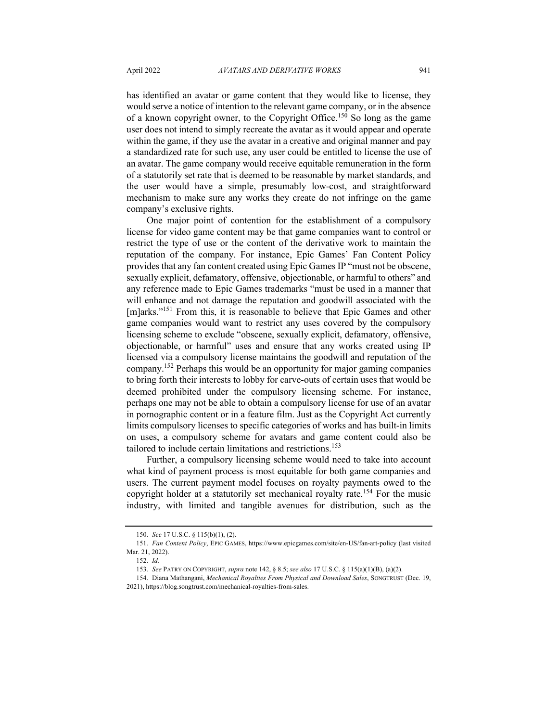has identified an avatar or game content that they would like to license, they would serve a notice of intention to the relevant game company, or in the absence of a known copyright owner, to the Copyright Office.<sup>150</sup> So long as the game user does not intend to simply recreate the avatar as it would appear and operate within the game, if they use the avatar in a creative and original manner and pay a standardized rate for such use, any user could be entitled to license the use of an avatar. The game company would receive equitable remuneration in the form of a statutorily set rate that is deemed to be reasonable by market standards, and the user would have a simple, presumably low-cost, and straightforward mechanism to make sure any works they create do not infringe on the game company's exclusive rights.

One major point of contention for the establishment of a compulsory license for video game content may be that game companies want to control or restrict the type of use or the content of the derivative work to maintain the reputation of the company. For instance, Epic Games' Fan Content Policy provides that any fan content created using Epic Games IP "must not be obscene, sexually explicit, defamatory, offensive, objectionable, or harmful to others" and any reference made to Epic Games trademarks "must be used in a manner that will enhance and not damage the reputation and goodwill associated with the [m]arks."<sup>151</sup> From this, it is reasonable to believe that Epic Games and other game companies would want to restrict any uses covered by the compulsory licensing scheme to exclude "obscene, sexually explicit, defamatory, offensive, objectionable, or harmful" uses and ensure that any works created using IP licensed via a compulsory license maintains the goodwill and reputation of the company.<sup>152</sup> Perhaps this would be an opportunity for major gaming companies to bring forth their interests to lobby for carve-outs of certain uses that would be deemed prohibited under the compulsory licensing scheme. For instance, perhaps one may not be able to obtain a compulsory license for use of an avatar in pornographic content or in a feature film. Just as the Copyright Act currently limits compulsory licenses to specific categories of works and has built-in limits on uses, a compulsory scheme for avatars and game content could also be tailored to include certain limitations and restrictions.<sup>153</sup>

Further, a compulsory licensing scheme would need to take into account what kind of payment process is most equitable for both game companies and users. The current payment model focuses on royalty payments owed to the copyright holder at a statutorily set mechanical royalty rate.<sup>154</sup> For the music industry, with limited and tangible avenues for distribution, such as the

<sup>150.</sup> *See* 17 U.S.C. § 115(b)(1), (2).

<sup>151.</sup> *Fan Content Policy*, EPIC GAMES, https://www.epicgames.com/site/en-US/fan-art-policy (last visited Mar. 21, 2022).

<sup>152.</sup> *Id.*

<sup>153.</sup> *See* PATRY ON COPYRIGHT, *supra* note 142, § 8.5; *see also* 17 U.S.C. § 115(a)(1)(B), (a)(2).

<sup>154.</sup> Diana Mathangani, *Mechanical Royalties From Physical and Download Sales*, SONGTRUST (Dec. 19, 2021), https://blog.songtrust.com/mechanical-royalties-from-sales.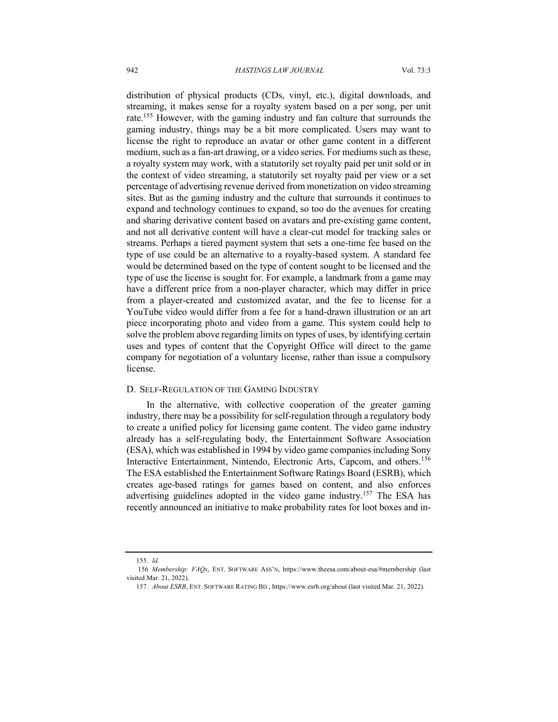distribution of physical products (CDs, vinyl, etc.), digital downloads, and streaming, it makes sense for a royalty system based on a per song, per unit rate.<sup>155</sup> However, with the gaming industry and fan culture that surrounds the gaming industry, things may be a bit more complicated. Users may want to license the right to reproduce an avatar or other game content in a different medium, such as a fan-art drawing, or a video series. For mediums such as these, a royalty system may work, with a statutorily set royalty paid per unit sold or in the context of video streaming, a statutorily set royalty paid per view or a set percentage of advertising revenue derived from monetization on video streaming sites. But as the gaming industry and the culture that surrounds it continues to expand and technology continues to expand, so too do the avenues for creating and sharing derivative content based on avatars and pre-existing game content, and not all derivative content will have a clear-cut model for tracking sales or streams. Perhaps a tiered payment system that sets a one-time fee based on the type of use could be an alternative to a royalty-based system. A standard fee would be determined based on the type of content sought to be licensed and the type of use the license is sought for. For example, a landmark from a game may have a different price from a non-player character, which may differ in price from a player-created and customized avatar, and the fee to license for a YouTube video would differ from a fee for a hand-drawn illustration or an art piece incorporating photo and video from a game. This system could help to solve the problem above regarding limits on types of uses, by identifying certain uses and types of content that the Copyright Office will direct to the game company for negotiation of a voluntary license, rather than issue a compulsory license.

#### D. SELF-REGULATION OF THE GAMING INDUSTRY

In the alternative, with collective cooperation of the greater gaming industry, there may be a possibility for self-regulation through a regulatory body to create a unified policy for licensing game content. The video game industry already has a self-regulating body, the Entertainment Software Association (ESA), which was established in 1994 by video game companies including Sony Interactive Entertainment, Nintendo, Electronic Arts, Capcom, and others. 156 The ESA established the Entertainment Software Ratings Board (ESRB), which creates age-based ratings for games based on content, and also enforces advertising guidelines adopted in the video game industry.<sup>157</sup> The ESA has recently announced an initiative to make probability rates for loot boxes and in-

<sup>155.</sup> *Id.*

<sup>156</sup> *Membership: FAQs*, ENT. SOFTWARE ASS'N, https://www.theesa.com/about-esa/#membership (last visited Mar. 21, 2022).

<sup>157.</sup> *About ESRB*, ENT. SOFTWARE RATING BD., https://www.esrb.org/about (last visited Mar. 21, 2022).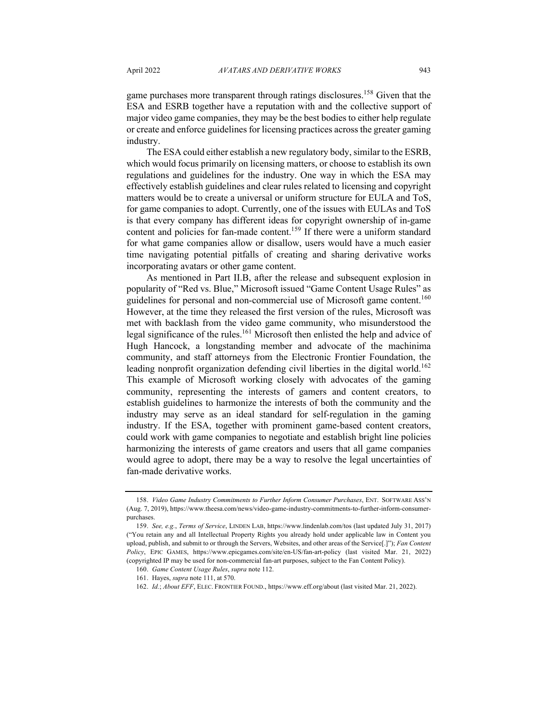game purchases more transparent through ratings disclosures.<sup>158</sup> Given that the ESA and ESRB together have a reputation with and the collective support of major video game companies, they may be the best bodies to either help regulate or create and enforce guidelines for licensing practices across the greater gaming industry.

The ESA could either establish a new regulatory body, similar to the ESRB, which would focus primarily on licensing matters, or choose to establish its own regulations and guidelines for the industry. One way in which the ESA may effectively establish guidelines and clear rules related to licensing and copyright matters would be to create a universal or uniform structure for EULA and ToS, for game companies to adopt. Currently, one of the issues with EULAs and ToS is that every company has different ideas for copyright ownership of in-game content and policies for fan-made content.<sup>159</sup> If there were a uniform standard for what game companies allow or disallow, users would have a much easier time navigating potential pitfalls of creating and sharing derivative works incorporating avatars or other game content.

As mentioned in Part II.B, after the release and subsequent explosion in popularity of "Red vs. Blue," Microsoft issued "Game Content Usage Rules" as guidelines for personal and non-commercial use of Microsoft game content.<sup>160</sup> However, at the time they released the first version of the rules, Microsoft was met with backlash from the video game community, who misunderstood the legal significance of the rules.<sup>161</sup> Microsoft then enlisted the help and advice of Hugh Hancock, a longstanding member and advocate of the machinima community, and staff attorneys from the Electronic Frontier Foundation, the leading nonprofit organization defending civil liberties in the digital world.<sup>162</sup> This example of Microsoft working closely with advocates of the gaming community, representing the interests of gamers and content creators, to establish guidelines to harmonize the interests of both the community and the industry may serve as an ideal standard for self-regulation in the gaming industry. If the ESA, together with prominent game-based content creators, could work with game companies to negotiate and establish bright line policies harmonizing the interests of game creators and users that all game companies would agree to adopt, there may be a way to resolve the legal uncertainties of fan-made derivative works.

<sup>158.</sup> *Video Game Industry Commitments to Further Inform Consumer Purchases*, ENT. SOFTWARE ASS'N (Aug. 7, 2019), https://www.theesa.com/news/video-game-industry-commitments-to-further-inform-consumerpurchases.

<sup>159.</sup> *See, e.g.*, *Terms of Service*, LINDEN LAB, https://www.lindenlab.com/tos (last updated July 31, 2017) ("You retain any and all Intellectual Property Rights you already hold under applicable law in Content you upload, publish, and submit to or through the Servers, Websites, and other areas of the Service[.]"); *Fan Content Policy*, EPIC GAMES, https://www.epicgames.com/site/en-US/fan-art-policy (last visited Mar. 21, 2022) (copyrighted IP may be used for non-commercial fan-art purposes, subject to the Fan Content Policy).

<sup>160.</sup> *Game Content Usage Rules*, *supra* note 112.

<sup>161.</sup> Hayes, *supra* note 111, at 570.

<sup>162.</sup> *Id.*; *About EFF*, ELEC. FRONTIER FOUND., https://www.eff.org/about (last visited Mar. 21, 2022).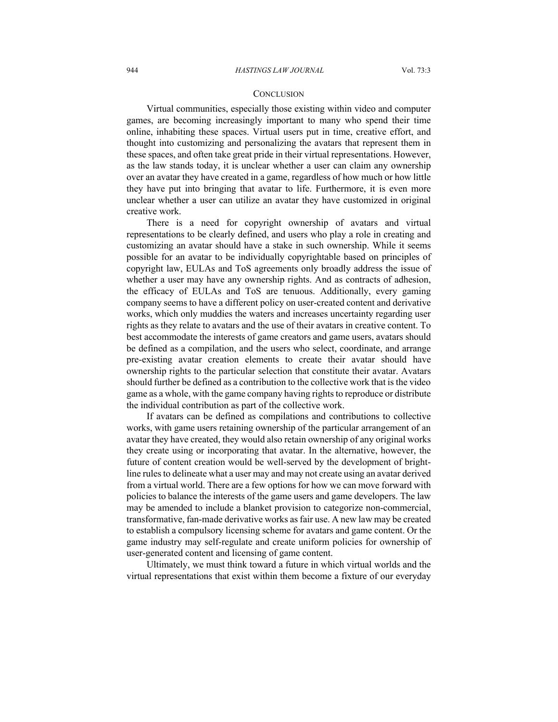#### **CONCLUSION**

Virtual communities, especially those existing within video and computer games, are becoming increasingly important to many who spend their time online, inhabiting these spaces. Virtual users put in time, creative effort, and thought into customizing and personalizing the avatars that represent them in these spaces, and often take great pride in their virtual representations. However, as the law stands today, it is unclear whether a user can claim any ownership over an avatar they have created in a game, regardless of how much or how little they have put into bringing that avatar to life. Furthermore, it is even more unclear whether a user can utilize an avatar they have customized in original creative work.

There is a need for copyright ownership of avatars and virtual representations to be clearly defined, and users who play a role in creating and customizing an avatar should have a stake in such ownership. While it seems possible for an avatar to be individually copyrightable based on principles of copyright law, EULAs and ToS agreements only broadly address the issue of whether a user may have any ownership rights. And as contracts of adhesion, the efficacy of EULAs and ToS are tenuous. Additionally, every gaming company seems to have a different policy on user-created content and derivative works, which only muddies the waters and increases uncertainty regarding user rights as they relate to avatars and the use of their avatars in creative content. To best accommodate the interests of game creators and game users, avatars should be defined as a compilation, and the users who select, coordinate, and arrange pre-existing avatar creation elements to create their avatar should have ownership rights to the particular selection that constitute their avatar. Avatars should further be defined as a contribution to the collective work that is the video game as a whole, with the game company having rights to reproduce or distribute the individual contribution as part of the collective work.

If avatars can be defined as compilations and contributions to collective works, with game users retaining ownership of the particular arrangement of an avatar they have created, they would also retain ownership of any original works they create using or incorporating that avatar. In the alternative, however, the future of content creation would be well-served by the development of brightline rules to delineate what a user may and may not create using an avatar derived from a virtual world. There are a few options for how we can move forward with policies to balance the interests of the game users and game developers. The law may be amended to include a blanket provision to categorize non-commercial, transformative, fan-made derivative works as fair use. A new law may be created to establish a compulsory licensing scheme for avatars and game content. Or the game industry may self-regulate and create uniform policies for ownership of user-generated content and licensing of game content.

Ultimately, we must think toward a future in which virtual worlds and the virtual representations that exist within them become a fixture of our everyday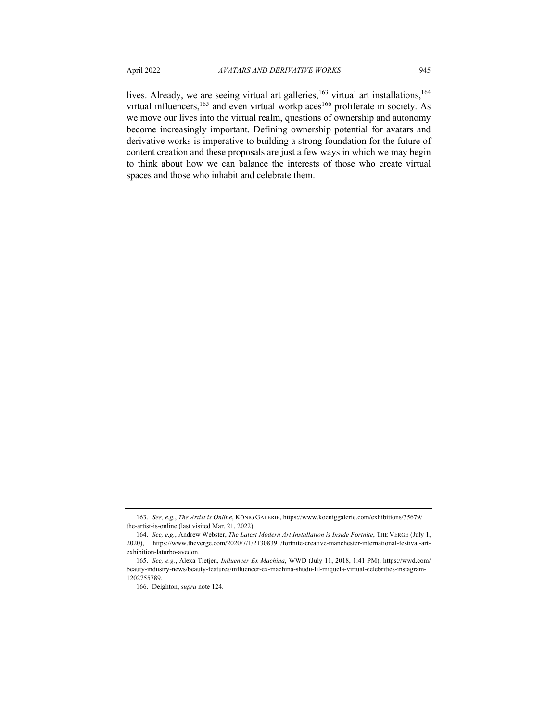lives. Already, we are seeing virtual art galleries, <sup>163</sup> virtual art installations, <sup>164</sup> virtual influencers,  $165$  and even virtual workplaces  $166$  proliferate in society. As we move our lives into the virtual realm, questions of ownership and autonomy become increasingly important. Defining ownership potential for avatars and derivative works is imperative to building a strong foundation for the future of content creation and these proposals are just a few ways in which we may begin to think about how we can balance the interests of those who create virtual spaces and those who inhabit and celebrate them.

<sup>163.</sup> *See, e.g.*, *The Artist is Online*, KÖNIG GALERIE, https://www.koeniggalerie.com/exhibitions/35679/ the-artist-is-online (last visited Mar. 21, 2022).

<sup>164.</sup> *See, e.g.*, Andrew Webster, *The Latest Modern Art Installation is Inside Fortnite*, THE VERGE (July 1, 2020), https://www.theverge.com/2020/7/1/21308391/fortnite-creative-manchester-international-festival-artexhibition-laturbo-avedon.

<sup>165.</sup> *See, e.g.*, Alexa Tietjen*, Influencer Ex Machina*, WWD (July 11, 2018, 1:41 PM), https://wwd.com/ beauty-industry-news/beauty-features/influencer-ex-machina-shudu-lil-miquela-virtual-celebrities-instagram-1202755789.

<sup>166.</sup> Deighton, *supra* note 124.